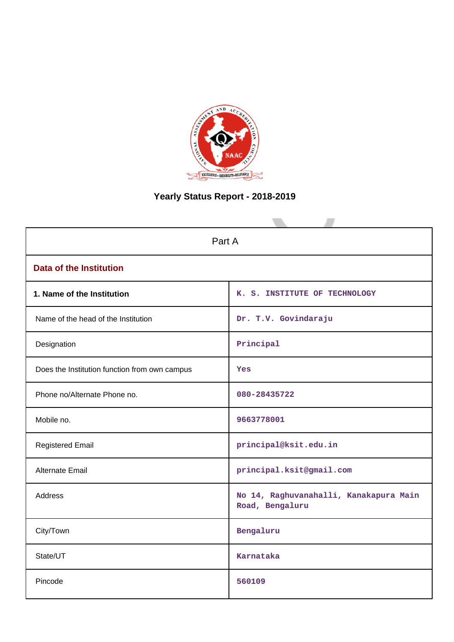

# **Yearly Status Report - 2018-2019**

| Part A                                        |                                                           |
|-----------------------------------------------|-----------------------------------------------------------|
| <b>Data of the Institution</b>                |                                                           |
| 1. Name of the Institution                    | K. S. INSTITUTE OF TECHNOLOGY                             |
| Name of the head of the Institution           | Dr. T.V. Govindaraju                                      |
| Designation                                   | Principal                                                 |
| Does the Institution function from own campus | Yes                                                       |
| Phone no/Alternate Phone no.                  | 080-28435722                                              |
| Mobile no.                                    | 9663778001                                                |
| <b>Registered Email</b>                       | principal@ksit.edu.in                                     |
| Alternate Email                               | principal.ksit@gmail.com                                  |
| Address                                       | No 14, Raghuvanahalli, Kanakapura Main<br>Road, Bengaluru |
| City/Town                                     | Bengaluru                                                 |
| State/UT                                      | Karnataka                                                 |
| Pincode                                       | 560109                                                    |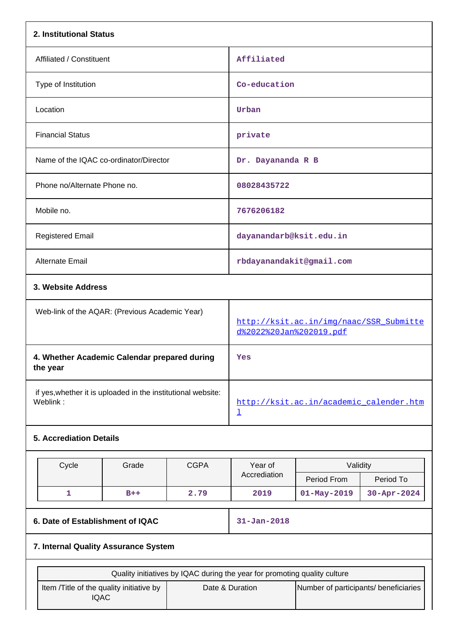| 2. Institutional Status                                                   |       |             |                                                                    |                                       |                    |  |
|---------------------------------------------------------------------------|-------|-------------|--------------------------------------------------------------------|---------------------------------------|--------------------|--|
| Affiliated / Constituent                                                  |       |             | Affiliated                                                         |                                       |                    |  |
| Type of Institution                                                       |       |             | Co-education                                                       |                                       |                    |  |
| Location                                                                  |       |             | Urban                                                              |                                       |                    |  |
| <b>Financial Status</b>                                                   |       |             | private                                                            |                                       |                    |  |
| Name of the IQAC co-ordinator/Director                                    |       |             | Dr. Dayananda R B                                                  |                                       |                    |  |
| Phone no/Alternate Phone no.                                              |       |             | 08028435722                                                        |                                       |                    |  |
| Mobile no.                                                                |       |             | 7676206182                                                         |                                       |                    |  |
| <b>Registered Email</b>                                                   |       |             | dayanandarb@ksit.edu.in                                            |                                       |                    |  |
| Alternate Email                                                           |       |             | rbdayanandakit@gmail.com                                           |                                       |                    |  |
| 3. Website Address                                                        |       |             |                                                                    |                                       |                    |  |
| Web-link of the AQAR: (Previous Academic Year)                            |       |             | http://ksit.ac.in/img/naac/SSR_Submitte<br>d%2022%20Jan%202019.pdf |                                       |                    |  |
| 4. Whether Academic Calendar prepared during<br>the year                  |       |             | Yes                                                                |                                       |                    |  |
| if yes, whether it is uploaded in the institutional website:<br>Weblink:  |       |             | http://ksit.ac.in/academic_calender.htm<br>$\overline{\mathsf{I}}$ |                                       |                    |  |
| <b>5. Accrediation Details</b>                                            |       |             |                                                                    |                                       |                    |  |
| Cycle                                                                     | Grade | <b>CGPA</b> | Year of                                                            | Validity                              |                    |  |
|                                                                           |       |             | Accrediation                                                       | Period From                           | Period To          |  |
| $\mathbf{1}$                                                              | $B++$ | 2.79        | 2019                                                               | $01 - May - 2019$                     | $30 - Appr - 2024$ |  |
| 6. Date of Establishment of IQAC                                          |       |             | $31 - Jan - 2018$                                                  |                                       |                    |  |
| 7. Internal Quality Assurance System                                      |       |             |                                                                    |                                       |                    |  |
| Quality initiatives by IQAC during the year for promoting quality culture |       |             |                                                                    |                                       |                    |  |
| Item /Title of the quality initiative by<br><b>IQAC</b>                   |       |             | Date & Duration                                                    | Number of participants/ beneficiaries |                    |  |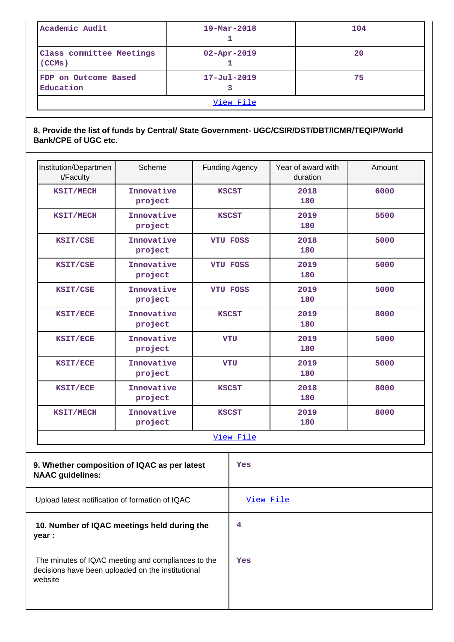| Academic Audit                     | $19 - \text{Mar} - 2018$ | 104 |  |  |  |
|------------------------------------|--------------------------|-----|--|--|--|
| Class committee Meetings<br>(CCMs) | $02 - Apr - 2019$        | 20  |  |  |  |
| FDP on Outcome Based<br>Education  | $17 - Ju1 - 2019$        | 75  |  |  |  |
| View File                          |                          |     |  |  |  |

### **8. Provide the list of funds by Central/ State Government- UGC/CSIR/DST/DBT/ICMR/TEQIP/World Bank/CPE of UGC etc.**

| Institution/Departmen<br>t/Faculty                                                                                 | Scheme                                          |   | <b>Funding Agency</b>       | Year of award with<br>duration | Amount |  |  |
|--------------------------------------------------------------------------------------------------------------------|-------------------------------------------------|---|-----------------------------|--------------------------------|--------|--|--|
| KSIT/MECH                                                                                                          | Innovative<br>project                           |   | <b>KSCST</b>                | 2018<br>180                    | 6000   |  |  |
| KSIT/MECH                                                                                                          | Innovative<br>project                           |   | <b>KSCST</b>                | 2019<br>180                    | 5500   |  |  |
| KSIT/CSE                                                                                                           | Innovative<br>project                           |   | <b>VTU FOSS</b>             | 2018<br>180                    | 5000   |  |  |
| KSIT/CSE                                                                                                           | Innovative<br>project                           |   | <b>VTU FOSS</b>             | 2019<br>180                    | 5000   |  |  |
| KSIT/CSE                                                                                                           | Innovative<br>project                           |   | <b>VTU FOSS</b>             | 2019<br>180                    | 5000   |  |  |
| KSIT/ECE                                                                                                           | Innovative<br>project                           |   | <b>KSCST</b>                | 2019<br>180                    | 8000   |  |  |
| KSIT/ECE                                                                                                           | Innovative<br>project                           |   | <b>VTU</b>                  | 2019<br>180                    | 5000   |  |  |
| KSIT/ECE                                                                                                           | Innovative<br>project                           |   | <b>VTU</b>                  | 2019<br>180                    | 5000   |  |  |
| KSIT/ECE                                                                                                           | Innovative<br>project                           |   | 2018<br><b>KSCST</b><br>180 |                                | 8000   |  |  |
| <b>KSIT/MECH</b>                                                                                                   | Innovative<br>project                           |   | <b>KSCST</b>                | 2019<br>180                    | 8000   |  |  |
|                                                                                                                    |                                                 |   | View File                   |                                |        |  |  |
| 9. Whether composition of IQAC as per latest<br><b>NAAC</b> guidelines:                                            |                                                 |   | Yes                         |                                |        |  |  |
|                                                                                                                    | Upload latest notification of formation of IQAC |   |                             | View File                      |        |  |  |
| 10. Number of IQAC meetings held during the<br>year :                                                              |                                                 | 4 |                             |                                |        |  |  |
| The minutes of IQAC meeting and compliances to the<br>decisions have been uploaded on the institutional<br>website |                                                 |   | Yes                         |                                |        |  |  |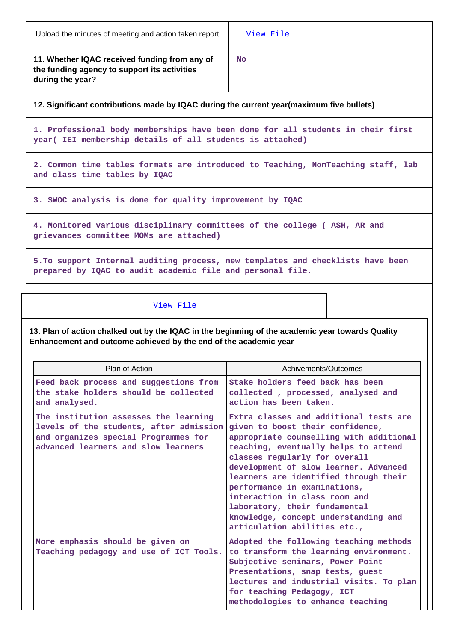| Upload the minutes of meeting and action taken report |  |
|-------------------------------------------------------|--|
|-------------------------------------------------------|--|

**11. Whether IQAC received funding from any of the funding agency to support its activities during the year?**

**No**

**12. Significant contributions made by IQAC during the current year(maximum five bullets)**

**1. Professional body memberships have been done for all students in their first year( IEI membership details of all students is attached)**

**2. Common time tables formats are introduced to Teaching, NonTeaching staff, lab and class time tables by IQAC**

**3. SWOC analysis is done for quality improvement by IQAC**

**4. Monitored various disciplinary committees of the college ( ASH, AR and grievances committee MOMs are attached)**

**5.To support Internal auditing process, new templates and checklists have been prepared by IQAC to audit academic file and personal file.**

### [View File](https://assessmentonline.naac.gov.in/public/Postacc/Contribution/5304_Contribution.xlsx)

**13. Plan of action chalked out by the IQAC in the beginning of the academic year towards Quality Enhancement and outcome achieved by the end of the academic year**

| Plan of Action                                                                                                                                                  | Achivements/Outcomes                                                                                                                                                                                                                                                                                                                                                                                                                                       |
|-----------------------------------------------------------------------------------------------------------------------------------------------------------------|------------------------------------------------------------------------------------------------------------------------------------------------------------------------------------------------------------------------------------------------------------------------------------------------------------------------------------------------------------------------------------------------------------------------------------------------------------|
| Feed back process and suggestions from<br>the stake holders should be collected<br>and analysed.                                                                | Stake holders feed back has been<br>collected, processed, analysed and<br>action has been taken.                                                                                                                                                                                                                                                                                                                                                           |
| The institution assesses the learning<br>levels of the students, after admission<br>and organizes special Programmes for<br>advanced learners and slow learners | Extra classes and additional tests are<br>given to boost their confidence,<br>appropriate counselling with additional<br>teaching, eventually helps to attend<br>classes regularly for overall<br>development of slow learner. Advanced<br>learners are identified through their<br>performance in examinations,<br>interaction in class room and<br>laboratory, their fundamental<br>knowledge, concept understanding and<br>articulation abilities etc., |
| More emphasis should be given on<br>Teaching pedagogy and use of ICT Tools.                                                                                     | Adopted the following teaching methods<br>to transform the learning environment.<br>Subjective seminars, Power Point<br>Presentations, snap tests, guest<br>lectures and industrial visits. To plan<br>for teaching Pedagogy, ICT<br>methodologies to enhance teaching                                                                                                                                                                                     |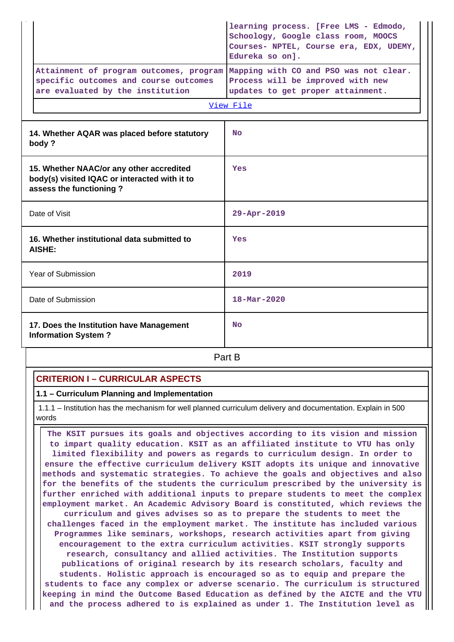|                                                                                                                      | learning process. [Free LMS - Edmodo,<br>Schoology, Google class room, MOOCS<br>Courses- NPTEL, Course era, EDX, UDEMY,<br>Edureka so on]. |  |  |  |  |
|----------------------------------------------------------------------------------------------------------------------|--------------------------------------------------------------------------------------------------------------------------------------------|--|--|--|--|
| Attainment of program outcomes, program<br>specific outcomes and course outcomes<br>are evaluated by the institution | Mapping with CO and PSO was not clear.<br>Process will be improved with new<br>updates to get proper attainment.                           |  |  |  |  |
|                                                                                                                      | View File                                                                                                                                  |  |  |  |  |
| 14. Whether AQAR was placed before statutory<br>body?                                                                | <b>No</b>                                                                                                                                  |  |  |  |  |
| 15. Whether NAAC/or any other accredited<br>body(s) visited IQAC or interacted with it to<br>assess the functioning? | Yes                                                                                                                                        |  |  |  |  |
| Date of Visit                                                                                                        | 29-Apr-2019                                                                                                                                |  |  |  |  |
| 16. Whether institutional data submitted to<br><b>AISHE:</b>                                                         | Yes                                                                                                                                        |  |  |  |  |
| <b>Year of Submission</b>                                                                                            | 2019                                                                                                                                       |  |  |  |  |
| Date of Submission                                                                                                   | $18 - \text{Mar} - 2020$                                                                                                                   |  |  |  |  |
| 17. Does the Institution have Management<br><b>Information System?</b>                                               | <b>No</b>                                                                                                                                  |  |  |  |  |

**Part B** 

### **CRITERION I – CURRICULAR ASPECTS**

**1.1 – Curriculum Planning and Implementation**

 1.1.1 – Institution has the mechanism for well planned curriculum delivery and documentation. Explain in 500 words

 **The KSIT pursues its goals and objectives according to its vision and mission to impart quality education. KSIT as an affiliated institute to VTU has only limited flexibility and powers as regards to curriculum design. In order to ensure the effective curriculum delivery KSIT adopts its unique and innovative methods and systematic strategies. To achieve the goals and objectives and also for the benefits of the students the curriculum prescribed by the university is further enriched with additional inputs to prepare students to meet the complex employment market. An Academic Advisory Board is constituted, which reviews the curriculum and gives advises so as to prepare the students to meet the challenges faced in the employment market. The institute has included various Programmes like seminars, workshops, research activities apart from giving encouragement to the extra curriculum activities. KSIT strongly supports research, consultancy and allied activities. The Institution supports publications of original research by its research scholars, faculty and students. Holistic approach is encouraged so as to equip and prepare the students to face any complex or adverse scenario. The curriculum is structured keeping in mind the Outcome Based Education as defined by the AICTE and the VTU and the process adhered to is explained as under 1. The Institution level as**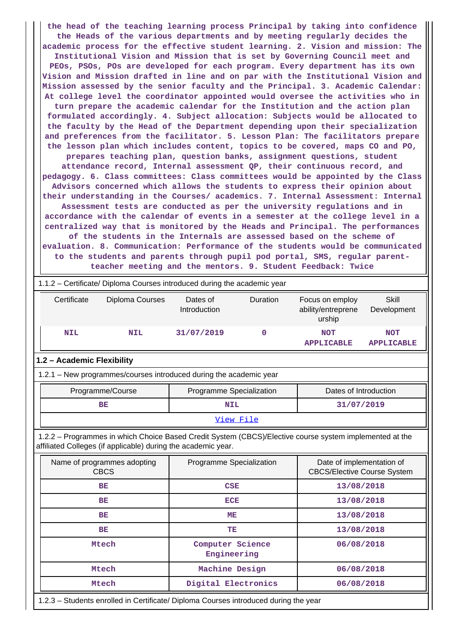**the head of the teaching learning process Principal by taking into confidence the Heads of the various departments and by meeting regularly decides the academic process for the effective student learning. 2. Vision and mission: The Institutional Vision and Mission that is set by Governing Council meet and PEOs, PSOs, POs are developed for each program. Every department has its own Vision and Mission drafted in line and on par with the Institutional Vision and Mission assessed by the senior faculty and the Principal. 3. Academic Calendar: At college level the coordinator appointed would oversee the activities who in turn prepare the academic calendar for the Institution and the action plan formulated accordingly. 4. Subject allocation: Subjects would be allocated to the faculty by the Head of the Department depending upon their specialization and preferences from the facilitator. 5. Lesson Plan: The facilitators prepare the lesson plan which includes content, topics to be covered, maps CO and PO, prepares teaching plan, question banks, assignment questions, student attendance record, Internal assessment QP, their continuous record, and pedagogy. 6. Class committees: Class committees would be appointed by the Class Advisors concerned which allows the students to express their opinion about their understanding in the Courses/ academics. 7. Internal Assessment: Internal Assessment tests are conducted as per the university regulations and in accordance with the calendar of events in a semester at the college level in a centralized way that is monitored by the Heads and Principal. The performances of the students in the Internals are assessed based on the scheme of evaluation. 8. Communication: Performance of the students would be communicated to the students and parents through pupil pod portal, SMS, regular parentteacher meeting and the mentors. 9. Student Feedback: Twice**

|                            | 1.1.2 - Certificate/ Diploma Courses introduced during the academic year                                                                                                 |                                 |          |                                                                 |                                 |  |  |  |  |
|----------------------------|--------------------------------------------------------------------------------------------------------------------------------------------------------------------------|---------------------------------|----------|-----------------------------------------------------------------|---------------------------------|--|--|--|--|
| Certificate                | Diploma Courses                                                                                                                                                          | Dates of<br>Introduction        | Duration | Focus on employ<br>ability/entreprene<br>urship                 | <b>Skill</b><br>Development     |  |  |  |  |
| <b>NIL</b><br><b>NIL</b>   |                                                                                                                                                                          | 0<br>31/07/2019                 |          | <b>NOT</b><br><b>APPLICABLE</b>                                 | <b>NOT</b><br><b>APPLICABLE</b> |  |  |  |  |
| 1.2 - Academic Flexibility |                                                                                                                                                                          |                                 |          |                                                                 |                                 |  |  |  |  |
|                            | 1.2.1 - New programmes/courses introduced during the academic year                                                                                                       |                                 |          |                                                                 |                                 |  |  |  |  |
|                            | Programme/Course<br>Programme Specialization<br>Dates of Introduction                                                                                                    |                                 |          |                                                                 |                                 |  |  |  |  |
|                            | <b>BE</b>                                                                                                                                                                | <b>NIL</b>                      |          |                                                                 | 31/07/2019                      |  |  |  |  |
| View File                  |                                                                                                                                                                          |                                 |          |                                                                 |                                 |  |  |  |  |
|                            | 1.2.2 - Programmes in which Choice Based Credit System (CBCS)/Elective course system implemented at the<br>affiliated Colleges (if applicable) during the academic year. |                                 |          |                                                                 |                                 |  |  |  |  |
|                            | Name of programmes adopting<br><b>CBCS</b>                                                                                                                               | Programme Specialization        |          | Date of implementation of<br><b>CBCS/Elective Course System</b> |                                 |  |  |  |  |
|                            | <b>BE</b>                                                                                                                                                                | <b>CSE</b>                      |          | 13/08/2018                                                      |                                 |  |  |  |  |
|                            | <b>BE</b>                                                                                                                                                                | <b>ECE</b>                      |          | 13/08/2018                                                      |                                 |  |  |  |  |
|                            | <b>BE</b>                                                                                                                                                                | <b>ME</b>                       |          | 13/08/2018                                                      |                                 |  |  |  |  |
|                            | BE                                                                                                                                                                       | TE                              |          | 13/08/2018                                                      |                                 |  |  |  |  |
|                            | Mtech                                                                                                                                                                    | Computer Science<br>Engineering |          | 06/08/2018                                                      |                                 |  |  |  |  |
|                            | <b>Mtech</b>                                                                                                                                                             | Machine Design<br>06/08/2018    |          |                                                                 |                                 |  |  |  |  |
|                            | Mtech                                                                                                                                                                    | Digital Electronics             |          | 06/08/2018                                                      |                                 |  |  |  |  |

1.2.3 – Students enrolled in Certificate/ Diploma Courses introduced during the year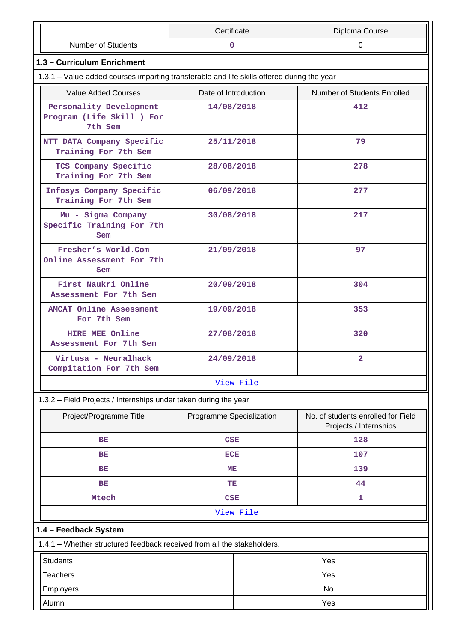|                                                                                            | Certificate              |           | Diploma Course                                               |  |  |
|--------------------------------------------------------------------------------------------|--------------------------|-----------|--------------------------------------------------------------|--|--|
| <b>Number of Students</b>                                                                  | 0                        |           | 0                                                            |  |  |
| 1.3 - Curriculum Enrichment                                                                |                          |           |                                                              |  |  |
| 1.3.1 - Value-added courses imparting transferable and life skills offered during the year |                          |           |                                                              |  |  |
| <b>Value Added Courses</b>                                                                 | Date of Introduction     |           | Number of Students Enrolled                                  |  |  |
| Personality Development<br>Program (Life Skill ) For<br>7th Sem                            | 14/08/2018               |           | 412                                                          |  |  |
| NTT DATA Company Specific<br>Training For 7th Sem                                          | 25/11/2018               |           | 79                                                           |  |  |
| TCS Company Specific<br>Training For 7th Sem                                               | 28/08/2018               |           | 278                                                          |  |  |
| Infosys Company Specific<br>Training For 7th Sem                                           | 06/09/2018               |           | 277                                                          |  |  |
| Mu - Sigma Company<br>Specific Training For 7th<br>Sem                                     | 30/08/2018               |           | 217                                                          |  |  |
| Fresher's World.Com<br>Online Assessment For 7th<br>Sem                                    | 21/09/2018               |           | 97                                                           |  |  |
| First Naukri Online<br>Assessment For 7th Sem                                              | 20/09/2018               |           | 304                                                          |  |  |
| <b>AMCAT Online Assessment</b><br>For 7th Sem                                              | 19/09/2018               |           | 353                                                          |  |  |
| <b>HIRE MEE Online</b><br>Assessment For 7th Sem                                           | 27/08/2018               |           | 320                                                          |  |  |
| Virtusa - Neuralhack<br>Compitation For 7th Sem                                            | 24/09/2018               |           | $\overline{2}$                                               |  |  |
|                                                                                            |                          | View File |                                                              |  |  |
| 1.3.2 - Field Projects / Internships under taken during the year                           |                          |           |                                                              |  |  |
| Project/Programme Title                                                                    | Programme Specialization |           | No. of students enrolled for Field<br>Projects / Internships |  |  |
| ВE                                                                                         | <b>CSE</b>               |           | 128                                                          |  |  |
| <b>BE</b>                                                                                  | ECE                      |           | 107                                                          |  |  |
| ВE                                                                                         | ME                       |           | 139                                                          |  |  |
| <b>BE</b>                                                                                  | TE                       |           | 44                                                           |  |  |
| <b>Mtech</b>                                                                               | <b>CSE</b>               |           | 1                                                            |  |  |
|                                                                                            |                          | View File |                                                              |  |  |
| 1.4 - Feedback System                                                                      |                          |           |                                                              |  |  |
| 1.4.1 - Whether structured feedback received from all the stakeholders.                    |                          |           |                                                              |  |  |
| <b>Students</b>                                                                            |                          |           | Yes                                                          |  |  |
| <b>Teachers</b>                                                                            |                          |           | Yes                                                          |  |  |
| Employers                                                                                  |                          | No        |                                                              |  |  |
| Alumni<br>Yes                                                                              |                          |           |                                                              |  |  |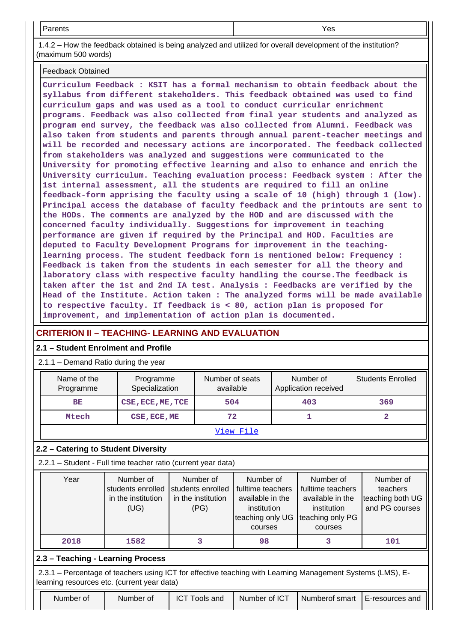Parents Yes

 1.4.2 – How the feedback obtained is being analyzed and utilized for overall development of the institution? (maximum 500 words)

Feedback Obtained

**Curriculum Feedback : KSIT has a formal mechanism to obtain feedback about the syllabus from different stakeholders. This feedback obtained was used to find curriculum gaps and was used as a tool to conduct curricular enrichment programs. Feedback was also collected from final year students and analyzed as program end survey, the feedback was also collected from Alumni. Feedback was also taken from students and parents through annual parent-teacher meetings and will be recorded and necessary actions are incorporated. The feedback collected from stakeholders was analyzed and suggestions were communicated to the University for promoting effective learning and also to enhance and enrich the University curriculum. Teaching evaluation process: Feedback system : After the 1st internal assessment, all the students are required to fill an online feedback-form apprising the faculty using a scale of 10 (high) through 1 (low). Principal access the database of faculty feedback and the printouts are sent to the HODs. The comments are analyzed by the HOD and are discussed with the concerned faculty individually. Suggestions for improvement in teaching performance are given if required by the Principal and HOD. Faculties are deputed to Faculty Development Programs for improvement in the teachinglearning process. The student feedback form is mentioned below: Frequency : Feedback is taken from the students in each semester for all the theory and laboratory class with respective faculty handling the course.The feedback is taken after the 1st and 2nd IA test. Analysis : Feedbacks are verified by the Head of the Institute. Action taken : The analyzed forms will be made available to respective faculty. If feedback is < 80, action plan is proposed for improvement, and implementation of action plan is documented.**

# **CRITERION II – TEACHING- LEARNING AND EVALUATION**

### **2.1 – Student Enrolment and Profile**

### 2.1.1 – Demand Ratio during the year

| Name of the | Programme                | Number of seats | Number of            | <b>Students Enrolled</b> |  |  |  |
|-------------|--------------------------|-----------------|----------------------|--------------------------|--|--|--|
| Programme   | Specialization           | available       | Application received |                          |  |  |  |
| BE          | CSE, ECE, ME, TCE<br>504 |                 | 403                  | 369                      |  |  |  |
| Mtech       | CSE, ECE, ME             | 72              |                      |                          |  |  |  |
| View File   |                          |                 |                      |                          |  |  |  |

# **2.2 – Catering to Student Diversity**

2.2.1 – Student - Full time teacher ratio (current year data)

|                                                                                                                                                           | Year                                                                                                 | Number of<br>Number of<br>Number of<br>fulltime teachers<br>students enrolled<br>students enrolled<br>in the institution<br>in the institution<br>available in the<br>(UG)<br>(PG)<br>institution<br>teaching only UG<br>courses |  | Number of<br>fulltime teachers<br>available in the<br>institution<br>teaching only PG<br>courses |   | Number of<br>teachers<br>teaching both UG<br>and PG courses |  |  |
|-----------------------------------------------------------------------------------------------------------------------------------------------------------|------------------------------------------------------------------------------------------------------|----------------------------------------------------------------------------------------------------------------------------------------------------------------------------------------------------------------------------------|--|--------------------------------------------------------------------------------------------------|---|-------------------------------------------------------------|--|--|
|                                                                                                                                                           | 2018                                                                                                 | 1582                                                                                                                                                                                                                             |  | 98                                                                                               | З | 101                                                         |  |  |
|                                                                                                                                                           | 2.3 - Teaching - Learning Process                                                                    |                                                                                                                                                                                                                                  |  |                                                                                                  |   |                                                             |  |  |
| 2.3.1 – Percentage of teachers using ICT for effective teaching with Learning Management Systems (LMS), E-<br>learning resources etc. (current year data) |                                                                                                      |                                                                                                                                                                                                                                  |  |                                                                                                  |   |                                                             |  |  |
|                                                                                                                                                           | Number of<br>Number of ICT<br>Numberof smart<br>Number of<br><b>ICT Tools and</b><br>E-resources and |                                                                                                                                                                                                                                  |  |                                                                                                  |   |                                                             |  |  |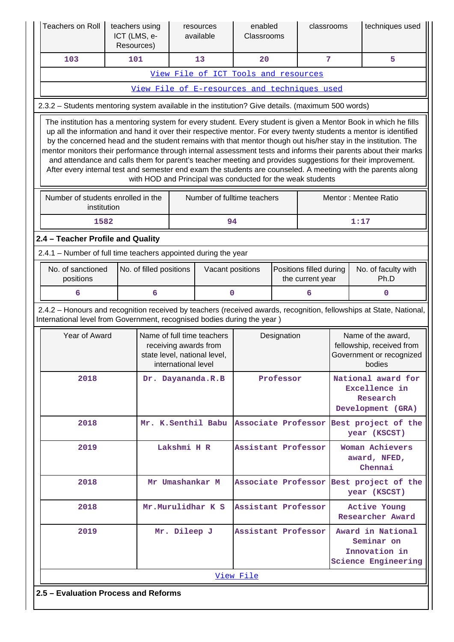| Teachers on Roll                                                                                                                                                                                                                                                                                                                                                                                                                                                                                                                                                                                                                                                                                                                                                       | teachers using<br>ICT (LMS, e-<br>Resources) |                     |                     | resources<br>available                                                              | enabled<br>Classrooms                                           |                                            | classrooms     |                                                                                       | techniques used                                                                                                     |
|------------------------------------------------------------------------------------------------------------------------------------------------------------------------------------------------------------------------------------------------------------------------------------------------------------------------------------------------------------------------------------------------------------------------------------------------------------------------------------------------------------------------------------------------------------------------------------------------------------------------------------------------------------------------------------------------------------------------------------------------------------------------|----------------------------------------------|---------------------|---------------------|-------------------------------------------------------------------------------------|-----------------------------------------------------------------|--------------------------------------------|----------------|---------------------------------------------------------------------------------------|---------------------------------------------------------------------------------------------------------------------|
| 103                                                                                                                                                                                                                                                                                                                                                                                                                                                                                                                                                                                                                                                                                                                                                                    | 101                                          |                     |                     | 13                                                                                  | 20                                                              |                                            | $\overline{7}$ |                                                                                       | 5                                                                                                                   |
|                                                                                                                                                                                                                                                                                                                                                                                                                                                                                                                                                                                                                                                                                                                                                                        |                                              |                     |                     |                                                                                     | View File of ICT Tools and resources                            |                                            |                |                                                                                       |                                                                                                                     |
|                                                                                                                                                                                                                                                                                                                                                                                                                                                                                                                                                                                                                                                                                                                                                                        |                                              |                     |                     |                                                                                     | View File of E-resources and techniques used                    |                                            |                |                                                                                       |                                                                                                                     |
| 2.3.2 - Students mentoring system available in the institution? Give details. (maximum 500 words)                                                                                                                                                                                                                                                                                                                                                                                                                                                                                                                                                                                                                                                                      |                                              |                     |                     |                                                                                     |                                                                 |                                            |                |                                                                                       |                                                                                                                     |
| The institution has a mentoring system for every student. Every student is given a Mentor Book in which he fills<br>up all the information and hand it over their respective mentor. For every twenty students a mentor is identified<br>by the concerned head and the student remains with that mentor though out his/her stay in the institution. The<br>mentor monitors their performance through internal assessment tests and informs their parents about their marks<br>and attendance and calls them for parent's teacher meeting and provides suggestions for their improvement.<br>After every internal test and semester end exam the students are counseled. A meeting with the parents along<br>with HOD and Principal was conducted for the weak students |                                              |                     |                     |                                                                                     |                                                                 |                                            |                |                                                                                       |                                                                                                                     |
| Number of fulltime teachers<br>Number of students enrolled in the<br>Mentor: Mentee Ratio<br>institution                                                                                                                                                                                                                                                                                                                                                                                                                                                                                                                                                                                                                                                               |                                              |                     |                     |                                                                                     |                                                                 |                                            |                |                                                                                       |                                                                                                                     |
| 94<br>1:17<br>1582                                                                                                                                                                                                                                                                                                                                                                                                                                                                                                                                                                                                                                                                                                                                                     |                                              |                     |                     |                                                                                     |                                                                 |                                            |                |                                                                                       |                                                                                                                     |
| 2.4 - Teacher Profile and Quality                                                                                                                                                                                                                                                                                                                                                                                                                                                                                                                                                                                                                                                                                                                                      |                                              |                     |                     |                                                                                     |                                                                 |                                            |                |                                                                                       |                                                                                                                     |
| 2.4.1 – Number of full time teachers appointed during the year                                                                                                                                                                                                                                                                                                                                                                                                                                                                                                                                                                                                                                                                                                         |                                              |                     |                     |                                                                                     |                                                                 |                                            |                |                                                                                       |                                                                                                                     |
| No. of sanctioned<br>No. of filled positions<br>positions                                                                                                                                                                                                                                                                                                                                                                                                                                                                                                                                                                                                                                                                                                              |                                              |                     |                     |                                                                                     | Vacant positions<br>Positions filled during<br>the current year |                                            |                | No. of faculty with<br>Ph.D                                                           |                                                                                                                     |
| 6                                                                                                                                                                                                                                                                                                                                                                                                                                                                                                                                                                                                                                                                                                                                                                      |                                              | 6                   |                     |                                                                                     | 0<br>6<br>0                                                     |                                            |                |                                                                                       |                                                                                                                     |
| International level from Government, recognised bodies during the year)                                                                                                                                                                                                                                                                                                                                                                                                                                                                                                                                                                                                                                                                                                |                                              |                     |                     |                                                                                     |                                                                 |                                            |                |                                                                                       | 2.4.2 - Honours and recognition received by teachers (received awards, recognition, fellowships at State, National, |
| Year of Award                                                                                                                                                                                                                                                                                                                                                                                                                                                                                                                                                                                                                                                                                                                                                          |                                              |                     | international level | Name of full time teachers<br>receiving awards from<br>state level, national level, |                                                                 | Designation                                |                | Name of the award,<br>fellowship, received from<br>Government or recognized<br>bodies |                                                                                                                     |
| 2018                                                                                                                                                                                                                                                                                                                                                                                                                                                                                                                                                                                                                                                                                                                                                                   |                                              |                     |                     | Dr. Dayananda.R.B                                                                   | Professor                                                       |                                            |                | National award for<br>Excellence in<br>Research<br>Development (GRA)                  |                                                                                                                     |
| 2018                                                                                                                                                                                                                                                                                                                                                                                                                                                                                                                                                                                                                                                                                                                                                                   |                                              |                     |                     |                                                                                     | Mr. K.Senthil Babu Associate Professor                          |                                            |                |                                                                                       | Best project of the<br>year (KSCST)                                                                                 |
| 2019                                                                                                                                                                                                                                                                                                                                                                                                                                                                                                                                                                                                                                                                                                                                                                   | Lakshmi H R                                  | Assistant Professor |                     |                                                                                     |                                                                 | Woman Achievers<br>award, NFED,<br>Chennai |                |                                                                                       |                                                                                                                     |
| Mr Umashankar M<br>2018                                                                                                                                                                                                                                                                                                                                                                                                                                                                                                                                                                                                                                                                                                                                                |                                              |                     |                     |                                                                                     | Associate Professor                                             |                                            |                |                                                                                       | Best project of the<br>year (KSCST)                                                                                 |
| 2018<br>Mr.Murulidhar K S                                                                                                                                                                                                                                                                                                                                                                                                                                                                                                                                                                                                                                                                                                                                              |                                              |                     |                     |                                                                                     | Assistant Professor                                             |                                            |                |                                                                                       | <b>Active Young</b><br><b>Researcher Award</b>                                                                      |
| Mr. Dileep J<br>2019                                                                                                                                                                                                                                                                                                                                                                                                                                                                                                                                                                                                                                                                                                                                                   |                                              |                     |                     |                                                                                     | Assistant Professor                                             |                                            |                |                                                                                       | Award in National<br>Seminar on<br>Innovation in<br><b>Science Engineering</b>                                      |
|                                                                                                                                                                                                                                                                                                                                                                                                                                                                                                                                                                                                                                                                                                                                                                        |                                              |                     |                     |                                                                                     | View File                                                       |                                            |                |                                                                                       |                                                                                                                     |
| 2.5 - Evaluation Process and Reforms                                                                                                                                                                                                                                                                                                                                                                                                                                                                                                                                                                                                                                                                                                                                   |                                              |                     |                     |                                                                                     |                                                                 |                                            |                |                                                                                       |                                                                                                                     |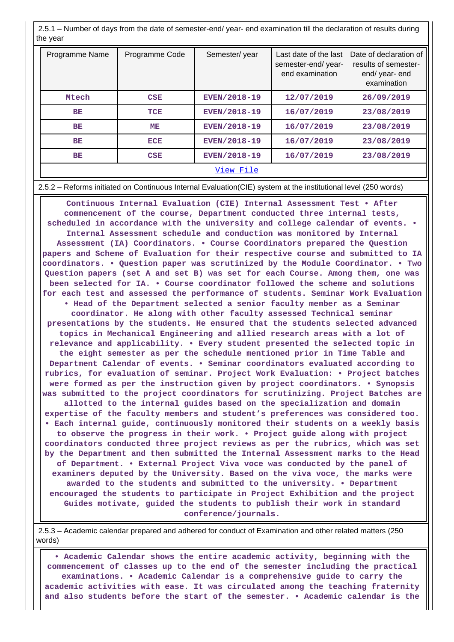2.5.1 – Number of days from the date of semester-end/ year- end examination till the declaration of results during the year

| Programme Name | Programme Code | Semester/year       | Last date of the last<br>semester-end/year-<br>end examination | Date of declaration of<br>results of semester-<br>end/ year- end<br>examination |
|----------------|----------------|---------------------|----------------------------------------------------------------|---------------------------------------------------------------------------------|
| Mtech          | CSE            | <b>EVEN/2018-19</b> | 12/07/2019                                                     | 26/09/2019                                                                      |
| BE             | TCE            | EVEN/2018-19        | 16/07/2019                                                     | 23/08/2019                                                                      |
| BE             | MЕ             | EVEN/2018-19        | 16/07/2019                                                     | 23/08/2019                                                                      |
| BE             | <b>ECE</b>     | EVEN/2018-19        | 16/07/2019                                                     | 23/08/2019                                                                      |
| BE             | CSE            | <b>EVEN/2018-19</b> | 16/07/2019                                                     | 23/08/2019                                                                      |
|                |                | View File           |                                                                |                                                                                 |

#### 2.5.2 – Reforms initiated on Continuous Internal Evaluation(CIE) system at the institutional level (250 words)

 **Continuous Internal Evaluation (CIE) Internal Assessment Test • After commencement of the course, Department conducted three internal tests, scheduled in accordance with the university and college calendar of events. • Internal Assessment schedule and conduction was monitored by Internal Assessment (IA) Coordinators. • Course Coordinators prepared the Question papers and Scheme of Evaluation for their respective course and submitted to IA coordinators. • Question paper was scrutinized by the Module Coordinator. • Two Question papers (set A and set B) was set for each Course. Among them, one was been selected for IA. • Course coordinator followed the scheme and solutions for each test and assessed the performance of students. Seminar Work Evaluation • Head of the Department selected a senior faculty member as a Seminar coordinator. He along with other faculty assessed Technical seminar presentations by the students. He ensured that the students selected advanced topics in Mechanical Engineering and allied research areas with a lot of relevance and applicability. • Every student presented the selected topic in the eight semester as per the schedule mentioned prior in Time Table and Department Calendar of events. • Seminar coordinators evaluated according to rubrics, for evaluation of seminar. Project Work Evaluation: • Project batches were formed as per the instruction given by project coordinators. • Synopsis was submitted to the project coordinators for scrutinizing. Project Batches are allotted to the internal guides based on the specialization and domain expertise of the faculty members and student's preferences was considered too. • Each internal guide, continuously monitored their students on a weekly basis to observe the progress in their work. • Project guide along with project coordinators conducted three project reviews as per the rubrics, which was set by the Department and then submitted the Internal Assessment marks to the Head of Department. • External Project Viva voce was conducted by the panel of examiners deputed by the University. Based on the viva voce, the marks were awarded to the students and submitted to the university. • Department encouraged the students to participate in Project Exhibition and the project Guides motivate, guided the students to publish their work in standard conference/journals.**

 2.5.3 – Academic calendar prepared and adhered for conduct of Examination and other related matters (250 words)

 **• Academic Calendar shows the entire academic activity, beginning with the commencement of classes up to the end of the semester including the practical examinations. • Academic Calendar is a comprehensive guide to carry the academic activities with ease. It was circulated among the teaching fraternity and also students before the start of the semester. • Academic calendar is the**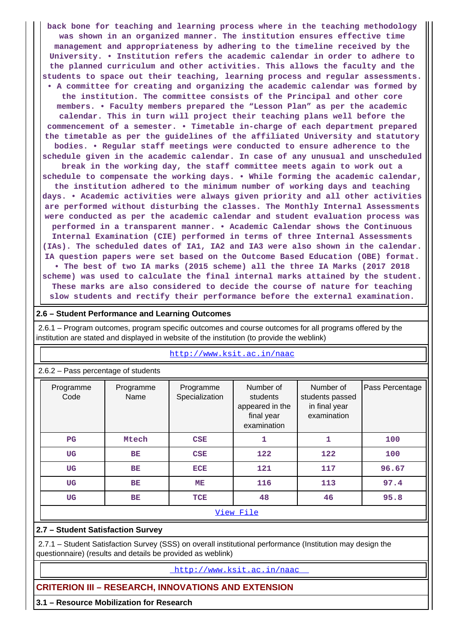**back bone for teaching and learning process where in the teaching methodology was shown in an organized manner. The institution ensures effective time management and appropriateness by adhering to the timeline received by the University. • Institution refers the academic calendar in order to adhere to the planned curriculum and other activities. This allows the faculty and the students to space out their teaching, learning process and regular assessments. • A committee for creating and organizing the academic calendar was formed by the institution. The committee consists of the Principal and other core members. • Faculty members prepared the "Lesson Plan" as per the academic calendar. This in turn will project their teaching plans well before the commencement of a semester. • Timetable in-charge of each department prepared the timetable as per the guidelines of the affiliated University and statutory bodies. • Regular staff meetings were conducted to ensure adherence to the schedule given in the academic calendar. In case of any unusual and unscheduled break in the working day, the staff committee meets again to work out a schedule to compensate the working days. • While forming the academic calendar, the institution adhered to the minimum number of working days and teaching days. • Academic activities were always given priority and all other activities are performed without disturbing the classes. The Monthly Internal Assessments were conducted as per the academic calendar and student evaluation process was performed in a transparent manner. • Academic Calendar shows the Continuous Internal Examination (CIE) performed in terms of three Internal Assessments (IAs). The scheduled dates of IA1, IA2 and IA3 were also shown in the calendar. IA question papers were set based on the Outcome Based Education (OBE) format. • The best of two IA marks (2015 scheme) all the three IA Marks (2017 2018 scheme) was used to calculate the final internal marks attained by the student. These marks are also considered to decide the course of nature for teaching slow students and rectify their performance before the external examination.**

#### **2.6 – Student Performance and Learning Outcomes**

 2.6.1 – Program outcomes, program specific outcomes and course outcomes for all programs offered by the institution are stated and displayed in website of the institution (to provide the weblink)

|                   | $2.6.2$ – Pass percentage of students |                             |                                                                       |                                                              |                 |  |  |  |
|-------------------|---------------------------------------|-----------------------------|-----------------------------------------------------------------------|--------------------------------------------------------------|-----------------|--|--|--|
| Programme<br>Code | Programme<br>Name                     | Programme<br>Specialization | Number of<br>students<br>appeared in the<br>final year<br>examination | Number of<br>students passed<br>in final year<br>examination | Pass Percentage |  |  |  |
| $_{\rm PG}$       | Mtech                                 | CSE                         | 1                                                                     | 1                                                            | 100             |  |  |  |
| <b>UG</b>         | <b>BE</b>                             | <b>CSE</b>                  | 122                                                                   | 122                                                          | 100             |  |  |  |
| <b>UG</b>         | <b>BE</b>                             | <b>ECE</b>                  | 121                                                                   | 117                                                          | 96.67           |  |  |  |
| <b>UG</b>         | BE                                    | ME                          | 116                                                                   | 113                                                          | 97.4            |  |  |  |
| <b>UG</b>         | <b>BE</b>                             | TCE                         | 48                                                                    | 46                                                           | 95.8            |  |  |  |
|                   |                                       |                             | View File                                                             |                                                              |                 |  |  |  |

#### <http://www.ksit.ac.in/naac>

#### **2.7 – Student Satisfaction Survey**

 2.7.1 – Student Satisfaction Survey (SSS) on overall institutional performance (Institution may design the questionnaire) (results and details be provided as weblink)

<http://www.ksit.ac.in/naac>

### **CRITERION III – RESEARCH, INNOVATIONS AND EXTENSION**

**3.1 – Resource Mobilization for Research**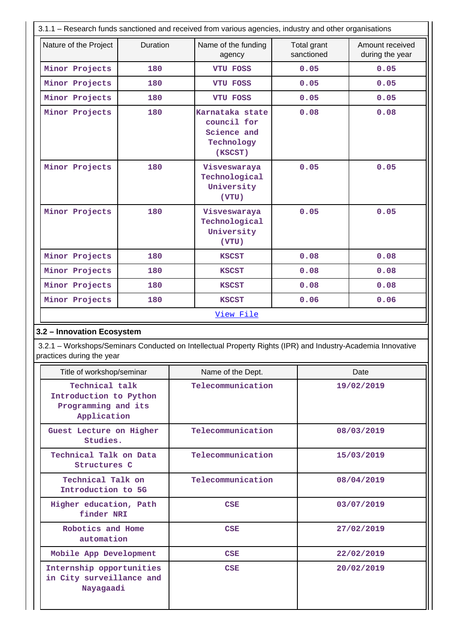|                                                                                |          | 3.1.1 - Research funds sanctioned and received from various agencies, industry and other organisations      |                           |                                    |  |
|--------------------------------------------------------------------------------|----------|-------------------------------------------------------------------------------------------------------------|---------------------------|------------------------------------|--|
| Nature of the Project                                                          | Duration | Name of the funding<br>agency                                                                               | Total grant<br>sanctioned | Amount received<br>during the year |  |
| Minor Projects                                                                 | 180      | <b>VTU FOSS</b>                                                                                             | 0.05                      | 0.05                               |  |
| Minor Projects                                                                 | 180      | VTU FOSS                                                                                                    | 0.05                      | 0.05                               |  |
| Minor Projects                                                                 | 180      | <b>VTU FOSS</b>                                                                                             | 0.05                      | 0.05                               |  |
| Minor Projects                                                                 | 180      | Karnataka state<br>council for<br>Science and<br>Technology<br>(KSCST)                                      | 0.08                      | 0.08                               |  |
| Minor Projects                                                                 | 180      | Visveswaraya<br>Technological<br>University<br>(VTU)                                                        | 0.05                      | 0.05                               |  |
| Minor Projects                                                                 | 180      | Visveswaraya<br>Technological<br>University<br>(VTU)                                                        | 0.05                      | 0.05                               |  |
| Minor Projects                                                                 | 180      | <b>KSCST</b>                                                                                                | 0.08                      | 0.08                               |  |
| Minor Projects                                                                 | 180      | <b>KSCST</b>                                                                                                | 0.08                      | 0.08                               |  |
| Minor Projects                                                                 | 180      | <b>KSCST</b>                                                                                                | 0.08                      | 0.08                               |  |
| Minor Projects                                                                 | 180      | <b>KSCST</b>                                                                                                | 0.06                      | 0.06                               |  |
|                                                                                |          | View File                                                                                                   |                           |                                    |  |
| 3.2 - Innovation Ecosystem<br>practices during the year                        |          | 3.2.1 – Workshops/Seminars Conducted on Intellectual Property Rights (IPR) and Industry-Academia Innovative |                           |                                    |  |
| Title of workshop/seminar                                                      |          | Name of the Dept.                                                                                           | Date                      |                                    |  |
| Technical talk<br>Introduction to Python<br>Programming and its<br>Application |          | Telecommunication                                                                                           |                           | 19/02/2019                         |  |
| Guest Lecture on Higher<br>Studies.                                            |          | Telecommunication                                                                                           |                           | 08/03/2019                         |  |
| Technical Talk on Data<br>Structures C                                         |          | Telecommunication                                                                                           |                           | 15/03/2019                         |  |
| Technical Talk on<br>Introduction to 5G                                        |          | Telecommunication                                                                                           |                           | 08/04/2019                         |  |
| Higher education, Path<br>finder NRI                                           |          | CSE                                                                                                         |                           | 03/07/2019                         |  |
| Robotics and Home<br>automation                                                |          | CSE                                                                                                         |                           | 27/02/2019                         |  |
| Mobile App Development                                                         |          | CSE                                                                                                         |                           | 22/02/2019                         |  |
| Internship opportunities<br>in City surveillance and<br>Nayagaadi              |          | CSE                                                                                                         |                           | 20/02/2019                         |  |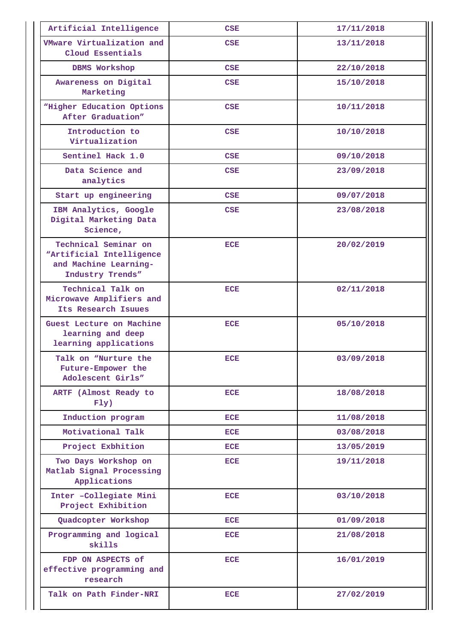| Artificial Intelligence                                                                       | <b>CSE</b> | 17/11/2018 |
|-----------------------------------------------------------------------------------------------|------------|------------|
| VMware Virtualization and<br>Cloud Essentials                                                 | <b>CSE</b> | 13/11/2018 |
| DBMS Workshop                                                                                 | CSE        | 22/10/2018 |
| Awareness on Digital<br>Marketing                                                             | CSE        | 15/10/2018 |
| "Higher Education Options<br>After Graduation"                                                | <b>CSE</b> | 10/11/2018 |
| Introduction to<br>Virtualization                                                             | CSE        | 10/10/2018 |
| Sentinel Hack 1.0                                                                             | CSE        | 09/10/2018 |
| Data Science and<br>analytics                                                                 | CSE        | 23/09/2018 |
| Start up engineering                                                                          | <b>CSE</b> | 09/07/2018 |
| IBM Analytics, Google<br>Digital Marketing Data<br>Science,                                   | CSE        | 23/08/2018 |
| Technical Seminar on<br>"Artificial Intelligence<br>and Machine Learning-<br>Industry Trends" | <b>ECE</b> | 20/02/2019 |
| Technical Talk on<br>Microwave Amplifiers and<br>Its Research Isuues                          | <b>ECE</b> | 02/11/2018 |
| Guest Lecture on Machine<br>learning and deep<br>learning applications                        | <b>ECE</b> | 05/10/2018 |
| Talk on "Nurture the<br>Future-Empower the<br>Adolescent Girls"                               | <b>ECE</b> | 03/09/2018 |
| ARTF (Almost Ready to<br>FIy)                                                                 | <b>ECE</b> | 18/08/2018 |
| Induction program                                                                             | <b>ECE</b> | 11/08/2018 |
| Motivational Talk                                                                             | <b>ECE</b> | 03/08/2018 |
| Project Exbhition                                                                             | <b>ECE</b> | 13/05/2019 |
| Two Days Workshop on<br>Matlab Signal Processing<br>Applications                              | <b>ECE</b> | 19/11/2018 |
| Inter -Collegiate Mini<br>Project Exhibition                                                  | <b>ECE</b> | 03/10/2018 |
| Quadcopter Workshop                                                                           | <b>ECE</b> | 01/09/2018 |
| Programming and logical<br>skills                                                             | <b>ECE</b> | 21/08/2018 |
| FDP ON ASPECTS of<br>effective programming and<br>research                                    | <b>ECE</b> | 16/01/2019 |
| Talk on Path Finder-NRI                                                                       | <b>ECE</b> | 27/02/2019 |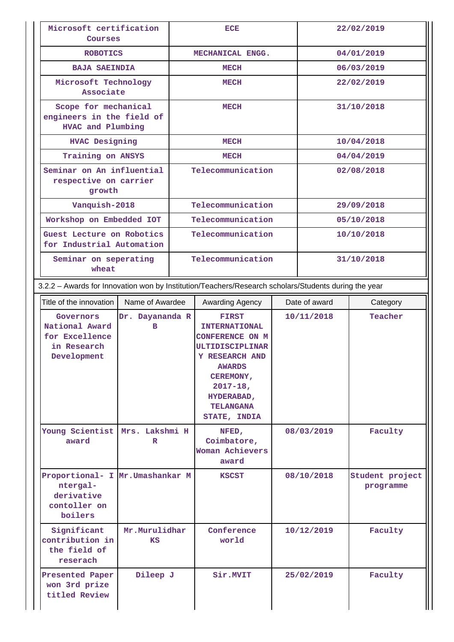| Microsoft certification<br>Courses                                                                   |                                                                        | ECE              |                                                                                                                                                                                                                    |            |               | 22/02/2019                   |  |
|------------------------------------------------------------------------------------------------------|------------------------------------------------------------------------|------------------|--------------------------------------------------------------------------------------------------------------------------------------------------------------------------------------------------------------------|------------|---------------|------------------------------|--|
| <b>ROBOTICS</b>                                                                                      |                                                                        | MECHANICAL ENGG. |                                                                                                                                                                                                                    |            | 04/01/2019    |                              |  |
| <b>BAJA SAEINDIA</b>                                                                                 |                                                                        |                  | <b>MECH</b>                                                                                                                                                                                                        |            |               | 06/03/2019                   |  |
| Microsoft Technology<br>Associate                                                                    |                                                                        |                  | <b>MECH</b>                                                                                                                                                                                                        |            |               | 22/02/2019                   |  |
|                                                                                                      | Scope for mechanical<br>engineers in the field of<br>HVAC and Plumbing |                  | <b>MECH</b>                                                                                                                                                                                                        |            |               | 31/10/2018                   |  |
| <b>HVAC Designing</b>                                                                                |                                                                        |                  | <b>MECH</b>                                                                                                                                                                                                        |            |               | 10/04/2018                   |  |
| Training on ANSYS                                                                                    |                                                                        |                  | <b>MECH</b>                                                                                                                                                                                                        |            |               | 04/04/2019                   |  |
| Seminar on An influential<br>respective on carrier<br>growth                                         |                                                                        |                  | Telecommunication                                                                                                                                                                                                  |            |               | 02/08/2018                   |  |
| Vanquish-2018                                                                                        |                                                                        |                  | Telecommunication                                                                                                                                                                                                  |            |               | 29/09/2018                   |  |
| Workshop on Embedded IOT                                                                             |                                                                        |                  | Telecommunication                                                                                                                                                                                                  |            |               | 05/10/2018                   |  |
| Guest Lecture on Robotics<br>for Industrial Automation                                               |                                                                        |                  | Telecommunication                                                                                                                                                                                                  |            |               | 10/10/2018                   |  |
| Seminar on seperating<br>wheat                                                                       |                                                                        |                  | Telecommunication                                                                                                                                                                                                  |            |               | 31/10/2018                   |  |
| 3.2.2 - Awards for Innovation won by Institution/Teachers/Research scholars/Students during the year |                                                                        |                  |                                                                                                                                                                                                                    |            |               |                              |  |
| Title of the innovation                                                                              | Name of Awardee                                                        |                  | Awarding Agency                                                                                                                                                                                                    |            | Date of award | Category                     |  |
| Governors<br>National Award<br>for Excellence<br>in Research<br>Development                          | Dr. Dayananda R<br>в                                                   |                  | <b>FIRST</b><br><b>INTERNATIONAL</b><br><b>CONFERENCE ON M</b><br><b>ULTIDISCIPLINAR</b><br><b>Y RESEARCH AND</b><br><b>AWARDS</b><br>CEREMONY,<br>$2017 - 18$ ,<br>HYDERABAD,<br><b>TELANGANA</b><br>STATE, INDIA |            | 10/11/2018    | Teacher                      |  |
| Young Scientist Mrs. Lakshmi H<br>award                                                              | $\mathbf R$                                                            |                  | NFED,<br>Coimbatore,<br>Woman Achievers<br>award                                                                                                                                                                   |            | 08/03/2019    | Faculty                      |  |
| Proportional- I Mr.Umashankar M<br>ntergal-<br>derivative<br>contoller on<br>boilers                 |                                                                        |                  | <b>KSCST</b>                                                                                                                                                                                                       |            | 08/10/2018    | Student project<br>programme |  |
| Significant<br>contribution in<br>the field of<br>reserach                                           | Mr.Murulidhar<br>KS                                                    |                  | Conference<br>world                                                                                                                                                                                                |            | 10/12/2019    | Faculty                      |  |
| Presented Paper                                                                                      |                                                                        |                  |                                                                                                                                                                                                                    | 25/02/2019 |               |                              |  |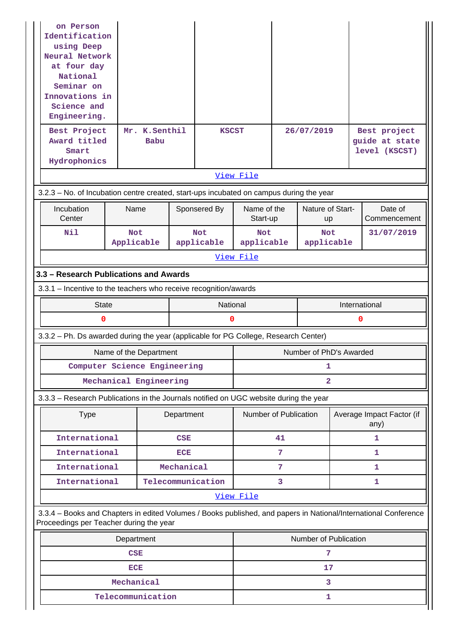| on Person<br>Identification<br>using Deep<br>Neural Network<br>at four day<br>National<br>Seminar on<br>Innovations in<br>Science and<br>Engineering.<br>Best Project<br>Award titled |                          | Mr. K.Senthil<br>Babu  |            | <b>KSCST</b>             |                          |    | 26/07/2019               |  | Best project<br>guide at state                                                                                  |  |  |
|---------------------------------------------------------------------------------------------------------------------------------------------------------------------------------------|--------------------------|------------------------|------------|--------------------------|--------------------------|----|--------------------------|--|-----------------------------------------------------------------------------------------------------------------|--|--|
| Smart<br>Hydrophonics                                                                                                                                                                 |                          |                        |            |                          |                          |    |                          |  | level (KSCST)                                                                                                   |  |  |
|                                                                                                                                                                                       |                          |                        |            |                          | View File                |    |                          |  |                                                                                                                 |  |  |
| 3.2.3 - No. of Incubation centre created, start-ups incubated on campus during the year                                                                                               |                          |                        |            |                          |                          |    |                          |  |                                                                                                                 |  |  |
| Incubation<br>Center                                                                                                                                                                  | Name                     |                        |            | Sponsered By             | Name of the<br>Start-up  |    | Nature of Start-<br>up   |  | Date of<br>Commencement                                                                                         |  |  |
| Nil                                                                                                                                                                                   | <b>Not</b><br>Applicable |                        |            | <b>Not</b><br>applicable | <b>Not</b><br>applicable |    | <b>Not</b><br>applicable |  | 31/07/2019                                                                                                      |  |  |
|                                                                                                                                                                                       |                          |                        |            |                          | View File                |    |                          |  |                                                                                                                 |  |  |
| 3.3 - Research Publications and Awards                                                                                                                                                |                          |                        |            |                          |                          |    |                          |  |                                                                                                                 |  |  |
| 3.3.1 – Incentive to the teachers who receive recognition/awards                                                                                                                      |                          |                        |            |                          |                          |    |                          |  |                                                                                                                 |  |  |
| <b>State</b>                                                                                                                                                                          |                          |                        |            | National                 |                          |    |                          |  | International                                                                                                   |  |  |
| 0                                                                                                                                                                                     |                          |                        |            | 0                        |                          |    |                          |  | 0                                                                                                               |  |  |
| 3.3.2 - Ph. Ds awarded during the year (applicable for PG College, Research Center)                                                                                                   |                          |                        |            |                          |                          |    |                          |  |                                                                                                                 |  |  |
|                                                                                                                                                                                       |                          | Name of the Department |            |                          |                          |    | Number of PhD's Awarded  |  |                                                                                                                 |  |  |
| Computer Science Engineering                                                                                                                                                          |                          |                        |            |                          |                          |    | 1                        |  |                                                                                                                 |  |  |
|                                                                                                                                                                                       |                          | Mechanical Engineering |            |                          |                          |    | $\mathbf{2}$             |  |                                                                                                                 |  |  |
| 3.3.3 - Research Publications in the Journals notified on UGC website during the year                                                                                                 |                          |                        |            |                          |                          |    |                          |  |                                                                                                                 |  |  |
| <b>Type</b>                                                                                                                                                                           |                          |                        | Department |                          | Number of Publication    |    |                          |  | Average Impact Factor (if<br>any)<br>1<br>1<br>1<br>1                                                           |  |  |
| International                                                                                                                                                                         |                          |                        | <b>CSE</b> |                          |                          | 41 |                          |  |                                                                                                                 |  |  |
| International                                                                                                                                                                         |                          |                        | <b>ECE</b> |                          |                          | 7  |                          |  |                                                                                                                 |  |  |
| International                                                                                                                                                                         |                          |                        | Mechanical |                          |                          | 7  |                          |  |                                                                                                                 |  |  |
| International                                                                                                                                                                         |                          |                        |            | Telecommunication        |                          | 3  |                          |  |                                                                                                                 |  |  |
|                                                                                                                                                                                       |                          |                        |            |                          | View File                |    |                          |  |                                                                                                                 |  |  |
| Proceedings per Teacher during the year                                                                                                                                               |                          |                        |            |                          |                          |    |                          |  | 3.3.4 – Books and Chapters in edited Volumes / Books published, and papers in National/International Conference |  |  |
|                                                                                                                                                                                       | Department               |                        |            |                          |                          |    | Number of Publication    |  |                                                                                                                 |  |  |
|                                                                                                                                                                                       | <b>CSE</b>               |                        |            |                          |                          |    | 7                        |  |                                                                                                                 |  |  |
|                                                                                                                                                                                       | <b>ECE</b>               |                        |            |                          | 17                       |    |                          |  |                                                                                                                 |  |  |
|                                                                                                                                                                                       |                          |                        |            |                          |                          |    |                          |  |                                                                                                                 |  |  |
|                                                                                                                                                                                       | Mechanical               | Telecommunication      |            |                          |                          |    | 3                        |  |                                                                                                                 |  |  |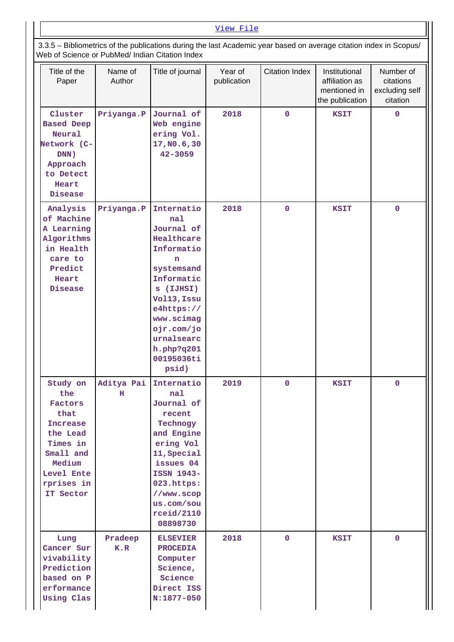#### [View File](https://assessmentonline.naac.gov.in/public/Postacc/Books_and_Chapters/5304_Books_and_Chapters_1596083701.xlsx)

 3.3.5 – Bibliometrics of the publications during the last Academic year based on average citation index in Scopus/ Web of Science or PubMed/ Indian Citation Index

| Title of the<br>Paper                                                                                                                         | Name of<br>Author | Title of journal                                                                                                                                                                                                      | Year of<br>publication | <b>Citation Index</b> | Institutional<br>affiliation as<br>mentioned in<br>the publication | Number of<br>citations<br>excluding self<br>citation |
|-----------------------------------------------------------------------------------------------------------------------------------------------|-------------------|-----------------------------------------------------------------------------------------------------------------------------------------------------------------------------------------------------------------------|------------------------|-----------------------|--------------------------------------------------------------------|------------------------------------------------------|
| Cluster<br><b>Based Deep</b><br>Neural<br>Network (C-<br>DNN)<br>Approach<br>to Detect<br>Heart<br>Disease                                    | Priyanga.P        | Journal of<br>Web engine<br>ering Vol.<br>17, NO.6, 30<br>$42 - 3059$                                                                                                                                                 | 2018                   | $\mathbf 0$           | <b>KSIT</b>                                                        | $\mathbf 0$                                          |
| Analysis<br>of Machine<br>A Learning<br>Algorithms<br>in Health<br>care to<br>Predict<br>Heart<br>Disease                                     | Priyanga.P        | Internatio<br>nal<br>Journal of<br>Healthcare<br>Informatio<br>n<br>systemsand<br>Informatic<br>s (IJHSI)<br>Vol13, Issu<br>e4https://<br>www.scimag<br>ojr.com/jo<br>urnalsearc<br>h.php?q201<br>00195036ti<br>psid) | 2018                   | $\mathbf{O}$          | <b>KSIT</b>                                                        | $\mathbf 0$                                          |
| Study on<br>the<br>Factors<br>that<br><b>Increase</b><br>the Lead<br>Times in<br>Small and<br>Medium<br>Level Ente<br>rprises in<br>IT Sector | Aditya Pai<br>н   | Internatio<br>nal<br>Journal of<br>recent<br>Technogy<br>and Engine<br>ering Vol<br>11, Special<br>issues 04<br>ISSN 1943-<br>023.https:<br>//www.scop<br>us.com/sou<br>rceid/2110<br>08898730                        | 2019                   | $\mathbf 0$           | <b>KSIT</b>                                                        | $\mathbf 0$                                          |
| Lung<br>Cancer Sur<br>vivability<br>Prediction<br>based on P<br>erformance<br>Using Clas                                                      | Pradeep<br>K.R    | <b>ELSEVIER</b><br><b>PROCEDIA</b><br>Computer<br>Science,<br>Science<br>Direct ISS<br>$N:1877-050$                                                                                                                   | 2018                   | $\mathbf 0$           | <b>KSIT</b>                                                        | $\mathbf 0$                                          |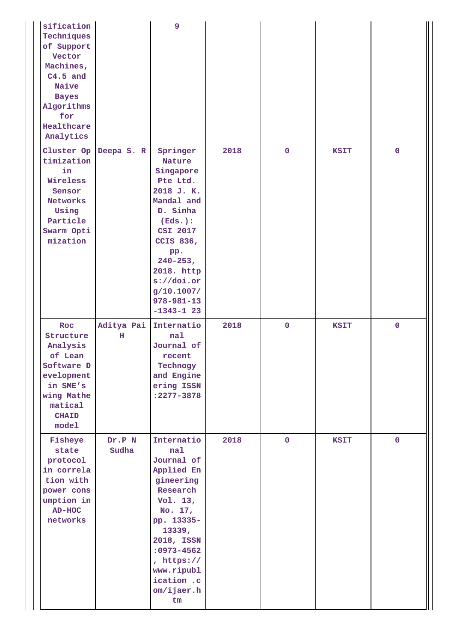| sification<br>Techniques<br>of Support<br>Vector<br>Machines,<br>$C4.5$ and<br>Naive<br><b>Bayes</b><br>Algorithms<br>for<br>Healthcare<br>Analytics |                 | 9                                                                                                                                                                                                                                    |      |                |             |             |
|------------------------------------------------------------------------------------------------------------------------------------------------------|-----------------|--------------------------------------------------------------------------------------------------------------------------------------------------------------------------------------------------------------------------------------|------|----------------|-------------|-------------|
| Cluster Op<br>timization<br>in<br>Wireless<br>Sensor<br><b>Networks</b><br>Using<br>Particle<br>Swarm Opti<br>mization                               | Deepa S. R      | Springer<br>Nature<br>Singapore<br>Pte Ltd.<br>2018 J. K.<br>Mandal and<br>D. Sinha<br>(Eds.):<br>CSI 2017<br><b>CCIS 836,</b><br>pp.<br>$240 - 253$ ,<br>2018. http<br>s://doi.org<br>g/10.1007/<br>$978 - 981 - 13$<br>$-1343-123$ | 2018 | $\mathbf 0$    | <b>KSIT</b> | $\mathbf 0$ |
| Roc<br>Structure<br>Analysis<br>of Lean<br>Software D<br>evelopment<br>in SME's<br>wing Mathe<br>matical<br><b>CHAID</b><br>model                    | Aditya Pai<br>н | Internatio<br>nal<br>Journal of<br>recent<br>Technogy<br>and Engine<br>ering ISSN<br>:2277-3878                                                                                                                                      | 2018 | $\mathbf 0$    | <b>KSIT</b> | $\mathbf 0$ |
| Fisheye<br>state<br>protocol<br>in correla<br>tion with<br>power cons<br>umption in<br>$AD-HOC$<br>networks                                          | Dr.P N<br>Sudha | Internatio<br>nal<br>Journal of<br>Applied En<br>gineering<br>Research<br>Vol. 13,<br>No. 17,<br>pp. 13335-<br>13339,<br>2018, ISSN<br>: 0973-4562<br>, https://<br>www.ripubl<br>ication .c<br>om/ijaer.h<br>tm                     | 2018 | $\overline{0}$ | <b>KSIT</b> | $\mathbf 0$ |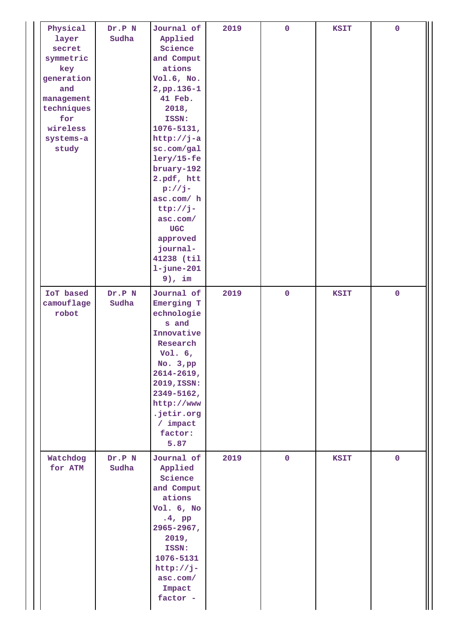| Physical<br>layer<br>secret<br>symmetric<br>key<br>generation<br>and<br>management<br>techniques<br>for<br>wireless<br>systems-a<br>study | Dr.P N<br>Sudha | Journal of<br>Applied<br>Science<br>and Comput<br>ations<br>Vol.6, No.<br>2, pp. 136-1<br>41 Feb.<br>2018,<br>ISSN:<br>$1076 - 5131,$<br>$http://j-a$<br>sc.com/gal<br>$lery/15-fe$<br>bruary-192<br>2.pdf, htt<br>$p://j-$<br>asc.com/ h<br>$ttp://j-$<br>asc.com/<br>$_{\rm UGC}$<br>approved<br>journal-<br>41238 (til<br>$1 - j$ une $-201$<br>$9$ ), im | 2019 | $\pmb{0}$   | <b>KSIT</b> | $\mathbf 0$ |
|-------------------------------------------------------------------------------------------------------------------------------------------|-----------------|--------------------------------------------------------------------------------------------------------------------------------------------------------------------------------------------------------------------------------------------------------------------------------------------------------------------------------------------------------------|------|-------------|-------------|-------------|
| IoT based<br>camouflage<br>robot                                                                                                          | Dr.P N<br>Sudha | Journal of<br>Emerging T<br>echnologie<br>s and<br>Innovative<br>Research<br>Vol. $6,$<br>No. $3, pp$<br>$2614 - 2619$ ,<br>2019, ISSN:<br>2349-5162,<br>http://www<br>.jetir.org<br>$/$ impact<br>factor:<br>5.87                                                                                                                                           | 2019 | $\mathbf 0$ | <b>KSIT</b> | $\mathbf 0$ |
| Watchdog<br>for ATM                                                                                                                       | Dr.P N<br>Sudha | Journal of<br>Applied<br>Science<br>and Comput<br>ations<br>Vol. 6, No<br>$.4$ , pp<br>2965-2967,<br>2019,<br>ISSN:<br>1076-5131<br>http://j-<br>asc.com/<br>Impact<br>factor -                                                                                                                                                                              | 2019 | $\pmb{0}$   | <b>KSIT</b> | $\mathbf 0$ |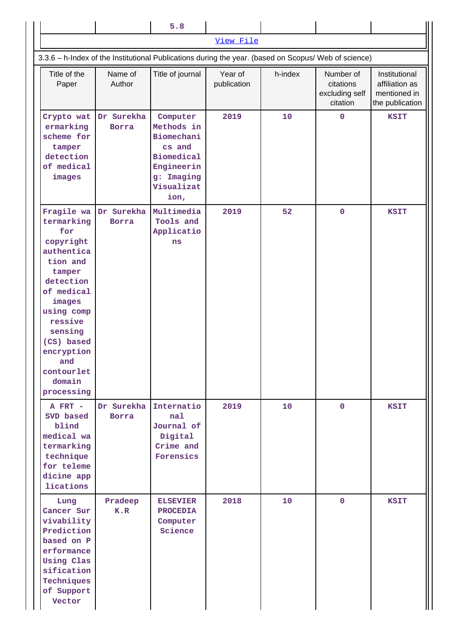|                                                                                                                                                                                                                                    |                            | 5.8                                                                                                                   |                        |         |                                                      |                                                                    |  |  |
|------------------------------------------------------------------------------------------------------------------------------------------------------------------------------------------------------------------------------------|----------------------------|-----------------------------------------------------------------------------------------------------------------------|------------------------|---------|------------------------------------------------------|--------------------------------------------------------------------|--|--|
|                                                                                                                                                                                                                                    |                            |                                                                                                                       | View File              |         |                                                      |                                                                    |  |  |
| 3.3.6 - h-Index of the Institutional Publications during the year. (based on Scopus/ Web of science)                                                                                                                               |                            |                                                                                                                       |                        |         |                                                      |                                                                    |  |  |
| Title of the<br>Paper                                                                                                                                                                                                              | Name of<br>Author          | Title of journal                                                                                                      | Year of<br>publication | h-index | Number of<br>citations<br>excluding self<br>citation | Institutional<br>affiliation as<br>mentioned in<br>the publication |  |  |
| Crypto wat<br>ermarking<br>scheme for<br>tamper<br>detection<br>of medical<br>images                                                                                                                                               | Dr Surekha<br><b>Borra</b> | Computer<br>Methods in<br>Biomechani<br>cs and<br><b>Biomedical</b><br>Engineerin<br>g: Imaging<br>Visualizat<br>ion, | 2019                   | 10      | $\mathbf 0$                                          | <b>KSIT</b>                                                        |  |  |
| Fragile wa<br>termarking<br>for<br>copyright<br>authentica<br>tion and<br>tamper<br>detection<br>of medical<br>images<br>using comp<br>ressive<br>sensing<br>(CS) based<br>encryption<br>and<br>contourlet<br>domain<br>processing | Dr Surekha<br><b>Borra</b> | Multimedia<br>Tools and<br>Applicatio<br>ns                                                                           | 2019                   | 52      | $\mathbf 0$                                          | <b>KSIT</b>                                                        |  |  |
| A FRT -<br>SVD based<br>blind<br>medical wa<br>termarking<br>technique<br>for teleme<br>dicine app<br>lications                                                                                                                    | Dr Surekha<br><b>Borra</b> | Internatio<br>nal<br>Journal of<br>Digital<br>Crime and<br>Forensics                                                  | 2019                   | 10      | $\mathbf{0}$                                         | <b>KSIT</b>                                                        |  |  |
| Lung<br>Cancer Sur<br>vivability<br>Prediction<br>based on P<br>erformance<br>Using Clas<br>sification<br>Techniques<br>of Support<br>Vector                                                                                       | Pradeep<br>K.R             | <b>ELSEVIER</b><br><b>PROCEDIA</b><br>Computer<br>Science                                                             | 2018                   | 10      | $\mathbf 0$                                          | <b>KSIT</b>                                                        |  |  |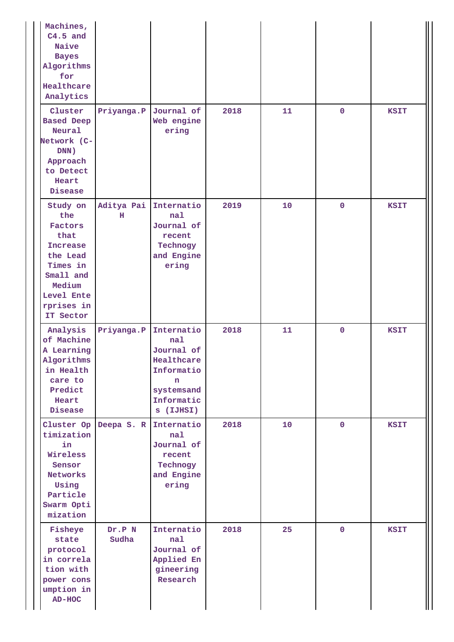| Machines,<br>$C4.5$ and<br>Naive<br><b>Bayes</b><br>Algorithms<br>for<br>Healthcare<br>Analytics                                              |                       |                                                                                                           |      |    |             |             |
|-----------------------------------------------------------------------------------------------------------------------------------------------|-----------------------|-----------------------------------------------------------------------------------------------------------|------|----|-------------|-------------|
| Cluster<br><b>Based Deep</b><br>Neural<br>Network (C-<br>DNN)<br>Approach<br>to Detect<br>Heart<br>Disease                                    | Priyanga.P            | Journal of<br>Web engine<br>ering                                                                         | 2018 | 11 | $\mathbf 0$ | <b>KSIT</b> |
| Study on<br>the<br>Factors<br>that<br><b>Increase</b><br>the Lead<br>Times in<br>Small and<br>Medium<br>Level Ente<br>rprises in<br>IT Sector | Aditya Pai<br>н       | Internatio<br>nal<br>Journal of<br>recent<br>Technogy<br>and Engine<br>ering                              | 2019 | 10 | $\mathbf 0$ | <b>KSIT</b> |
| Analysis<br>of Machine<br>A Learning<br>Algorithms<br>in Health<br>care to<br>Predict<br>Heart<br>Disease                                     | Priyanga.P            | Internatio<br>nal<br>Journal of<br>Healthcare<br>Informatio<br>n<br>systemsand<br>Informatic<br>s (IJHSI) | 2018 | 11 | $\mathbf 0$ | <b>KSIT</b> |
| timization<br>in<br>Wireless<br>Sensor<br>Networks<br>Using<br>Particle<br>Swarm Opti<br>mization                                             | Cluster Op Deepa S. R | Internatio<br>nal<br>Journal of<br>recent<br>Technogy<br>and Engine<br>ering                              | 2018 | 10 | $\mathbf 0$ | <b>KSIT</b> |
| Fisheye<br>state<br>protocol<br>in correla<br>tion with<br>power cons<br>umption in<br>$AD-HOC$                                               | Dr.P N<br>Sudha       | Internatio<br>nal<br>Journal of<br>Applied En<br>gineering<br>Research                                    | 2018 | 25 | $\mathbf 0$ | <b>KSIT</b> |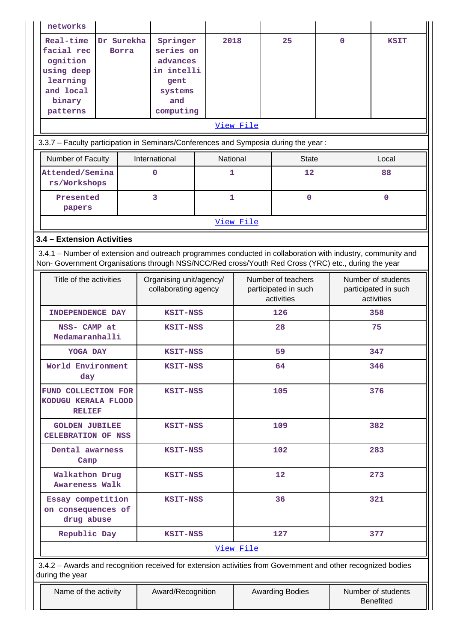| networks                                                                                                                                                                                                                                         |                                                                                        |              |           |                                                          |             |     |                                                          |
|--------------------------------------------------------------------------------------------------------------------------------------------------------------------------------------------------------------------------------------------------|----------------------------------------------------------------------------------------|--------------|-----------|----------------------------------------------------------|-------------|-----|----------------------------------------------------------|
| Real-time<br>Dr Surekha<br>facial rec<br><b>Borra</b><br>ognition<br>using deep<br>learning<br>and local<br>binary<br>patterns                                                                                                                   | Springer<br>series on<br>advances<br>in intelli<br>gent<br>systems<br>and<br>computing | 2018         |           | 25                                                       | $\mathbf 0$ |     | <b>KSIT</b>                                              |
| 3.3.7 - Faculty participation in Seminars/Conferences and Symposia during the year:                                                                                                                                                              |                                                                                        |              | View File |                                                          |             |     |                                                          |
| Number of Faculty                                                                                                                                                                                                                                | International                                                                          | National     |           | <b>State</b>                                             |             |     | Local                                                    |
| Attended/Semina<br>rs/Workshops                                                                                                                                                                                                                  | $\mathbf 0$                                                                            | 1            |           | 12                                                       |             |     | 88                                                       |
| Presented<br>papers                                                                                                                                                                                                                              | 3                                                                                      | $\mathbf{1}$ |           | $\mathbf 0$                                              |             |     | $\mathbf{O}$                                             |
|                                                                                                                                                                                                                                                  |                                                                                        |              | View File |                                                          |             |     |                                                          |
| 3.4 - Extension Activities<br>3.4.1 – Number of extension and outreach programmes conducted in collaboration with industry, community and<br>Non- Government Organisations through NSS/NCC/Red cross/Youth Red Cross (YRC) etc., during the year |                                                                                        |              |           |                                                          |             |     |                                                          |
| Title of the activities                                                                                                                                                                                                                          | Organising unit/agency/<br>collaborating agency                                        |              |           | Number of teachers<br>participated in such<br>activities |             |     | Number of students<br>participated in such<br>activities |
| <b>INDEPENDENCE DAY</b>                                                                                                                                                                                                                          | KSIT-NSS                                                                               |              |           | 126                                                      |             | 358 |                                                          |
| NSS- CAMP at<br>Medamaranhalli                                                                                                                                                                                                                   | <b>KSIT-NSS</b>                                                                        |              |           | 28                                                       |             | 75  |                                                          |
| YOGA DAY                                                                                                                                                                                                                                         | KSIT-NSS                                                                               |              |           | 59                                                       | 347         |     |                                                          |
| World Environment<br>day                                                                                                                                                                                                                         | KSIT-NSS                                                                               |              |           | 64                                                       |             |     | 346                                                      |
| FUND COLLECTION FOR<br>KODUGU KERALA FLOOD<br><b>RELIEF</b>                                                                                                                                                                                      | <b>KSIT-NSS</b>                                                                        |              |           | 105                                                      |             |     | 376                                                      |
| <b>GOLDEN JUBILEE</b><br>CELEBRATION OF NSS                                                                                                                                                                                                      | KSIT-NSS                                                                               |              |           | 109                                                      |             |     | 382                                                      |
| Dental awarness<br>Camp                                                                                                                                                                                                                          | <b>KSIT-NSS</b>                                                                        |              |           | 102                                                      |             |     | 283                                                      |
| Walkathon Drug<br><b>Awareness Walk</b>                                                                                                                                                                                                          | <b>KSIT-NSS</b>                                                                        |              |           | 12                                                       |             |     | 273                                                      |
| Essay competition<br>on consequences of<br>drug abuse                                                                                                                                                                                            | KSIT-NSS                                                                               |              |           | 36                                                       |             |     | 321                                                      |
| Republic Day                                                                                                                                                                                                                                     | <b>KSIT-NSS</b>                                                                        |              |           | 127                                                      |             |     | 377                                                      |
|                                                                                                                                                                                                                                                  |                                                                                        |              | View File |                                                          |             |     |                                                          |
| 3.4.2 - Awards and recognition received for extension activities from Government and other recognized bodies<br>during the year                                                                                                                  |                                                                                        |              |           |                                                          |             |     |                                                          |
| Name of the activity                                                                                                                                                                                                                             | Award/Recognition                                                                      |              |           | <b>Awarding Bodies</b>                                   |             |     | Number of students<br><b>Benefited</b>                   |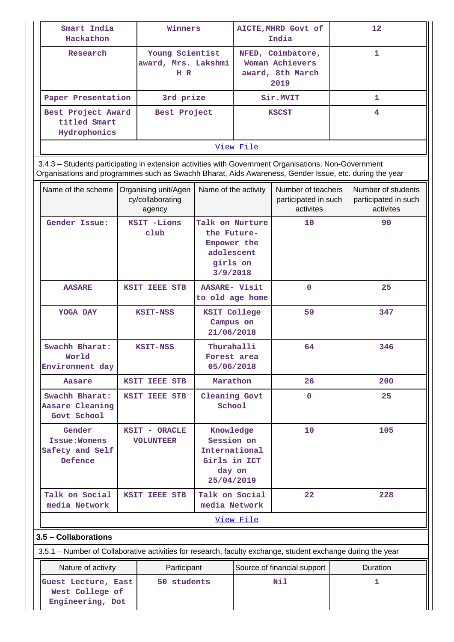| Smart India<br>Hackathon                           | Winners                                       | AICTE, MHRD Govt of<br>India                                     | 12 <sup>2</sup> |
|----------------------------------------------------|-----------------------------------------------|------------------------------------------------------------------|-----------------|
| Research                                           | Young Scientist<br>award, Mrs. Lakshmi<br>HR. | NFED, Coimbatore,<br>Woman Achievers<br>award, 8th March<br>2019 |                 |
| Paper Presentation                                 | 3rd prize                                     | Sir.MVIT                                                         |                 |
| Best Project Award<br>titled Smart<br>Hydrophonics | Best Project                                  | <b>KSCST</b>                                                     | 4               |
|                                                    |                                               |                                                                  |                 |

 3.4.3 – Students participating in extension activities with Government Organisations, Non-Government Organisations and programmes such as Swachh Bharat, Aids Awareness, Gender Issue, etc. during the year

| Name of the scheme                                    | Organising unit/Agen<br>cy/collaborating<br>agency                                                         | Name of the activity                                                             | Number of teachers<br>participated in such<br>activites | Number of students<br>participated in such<br>activites |
|-------------------------------------------------------|------------------------------------------------------------------------------------------------------------|----------------------------------------------------------------------------------|---------------------------------------------------------|---------------------------------------------------------|
| Gender Issue:                                         | KSIT -Lions<br>Talk on Nurture<br>club<br>the Future-<br>Empower the<br>adolescent<br>girls on<br>3/9/2018 |                                                                                  | 10                                                      | 90                                                      |
| <b>AASARE</b>                                         | KSIT IEEE STB                                                                                              | AASARE- Visit<br>to old age home                                                 | $\mathbf{O}$                                            | 25                                                      |
| YOGA DAY                                              | KSIT-NSS                                                                                                   | <b>KSIT College</b><br>Campus on<br>21/06/2018                                   | 59                                                      | 347                                                     |
| Swachh Bharat:<br>World<br>Environment day            | KSIT-NSS                                                                                                   | Thurahalli<br>Forest area<br>05/06/2018                                          | 64                                                      | 346                                                     |
| Aasare                                                | KSIT IEEE STB                                                                                              | Marathon                                                                         | 26                                                      | 200                                                     |
| Swachh Bharat:<br>Aasare Cleaning<br>Govt School      | KSIT IEEE STB                                                                                              | Cleaning Govt<br>School                                                          | $\mathbf 0$                                             | 25                                                      |
| Gender<br>Issue: Womens<br>Safety and Self<br>Defence | KSIT - ORACLE<br><b>VOLUNTEER</b>                                                                          | Knowledge<br>Session on<br>International<br>Girls in ICT<br>day on<br>25/04/2019 | 10                                                      | 105                                                     |
| Talk on Social<br>media Network                       | <b>KSIT IEEE STB</b>                                                                                       | Talk on Social<br>media Network                                                  | $22 \overline{)}$                                       | 228                                                     |
|                                                       |                                                                                                            | View File                                                                        |                                                         |                                                         |
| 3.5 - Collaborations                                  |                                                                                                            |                                                                                  |                                                         |                                                         |

3.5.1 – Number of Collaborative activities for research, faculty exchange, student exchange during the year

| Nature of activity                                         | Participant | Source of financial support | <b>Duration</b> |
|------------------------------------------------------------|-------------|-----------------------------|-----------------|
| Guest Lecture, East<br>West College of<br>Engineering, Dot | 50 students | Nil                         |                 |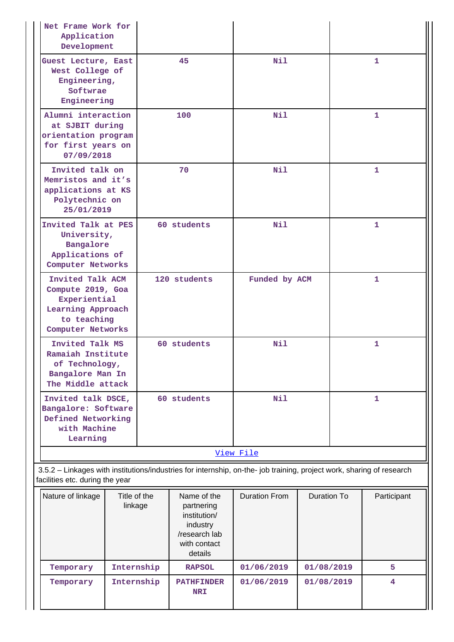| Net Frame Work for<br>Application<br>Development                                                               |                                                                                                                                                          |              |                                                                                                   |                      |             |   |             |  |
|----------------------------------------------------------------------------------------------------------------|----------------------------------------------------------------------------------------------------------------------------------------------------------|--------------|---------------------------------------------------------------------------------------------------|----------------------|-------------|---|-------------|--|
|                                                                                                                | Guest Lecture, East<br>West College of<br>Engineering,<br>Softwrae<br>Engineering                                                                        |              | 45                                                                                                | N11                  |             |   | 1.          |  |
| Alumni interaction<br>at SJBIT during<br>orientation program<br>for first years on<br>07/09/2018               |                                                                                                                                                          |              | 100                                                                                               | Nil                  |             |   | 1           |  |
| Invited talk on<br>Memristos and it's<br>applications at KS<br>Polytechnic on<br>25/01/2019                    |                                                                                                                                                          |              | 70                                                                                                | Nil                  |             |   | 1           |  |
|                                                                                                                | Invited Talk at PES<br>University,<br>Bangalore<br>Applications of<br>Computer Networks                                                                  |              | 60 students                                                                                       | Nil                  |             |   | 1           |  |
| Invited Talk ACM<br>Compute 2019, Goa<br>Experiential<br>Learning Approach<br>to teaching<br>Computer Networks |                                                                                                                                                          | 120 students |                                                                                                   | Funded by ACM        |             | 1 |             |  |
| Invited Talk MS<br>Ramaiah Institute<br>of Technology,<br>Bangalore Man In<br>The Middle attack                |                                                                                                                                                          |              | 60 students                                                                                       | <b>Nil</b>           |             |   | 1           |  |
| Invited talk DSCE,<br>Bangalore: Software<br>Defined Networking<br>with Machine<br>Learning                    |                                                                                                                                                          |              | 60 students                                                                                       | Nil                  |             |   | 1           |  |
|                                                                                                                |                                                                                                                                                          |              |                                                                                                   | View File            |             |   |             |  |
|                                                                                                                | 3.5.2 - Linkages with institutions/industries for internship, on-the- job training, project work, sharing of research<br>facilities etc. during the year |              |                                                                                                   |                      |             |   |             |  |
| Title of the<br>Nature of linkage<br>linkage                                                                   |                                                                                                                                                          |              | Name of the<br>partnering<br>institution/<br>industry<br>/research lab<br>with contact<br>details | <b>Duration From</b> | Duration To |   | Participant |  |
| Temporary                                                                                                      | Internship                                                                                                                                               |              | <b>RAPSOL</b>                                                                                     | 01/06/2019           | 01/08/2019  |   | 5           |  |
| Temporary                                                                                                      |                                                                                                                                                          | Internship   | <b>PATHFINDER</b><br><b>NRI</b>                                                                   | 01/06/2019           | 01/08/2019  |   | 4           |  |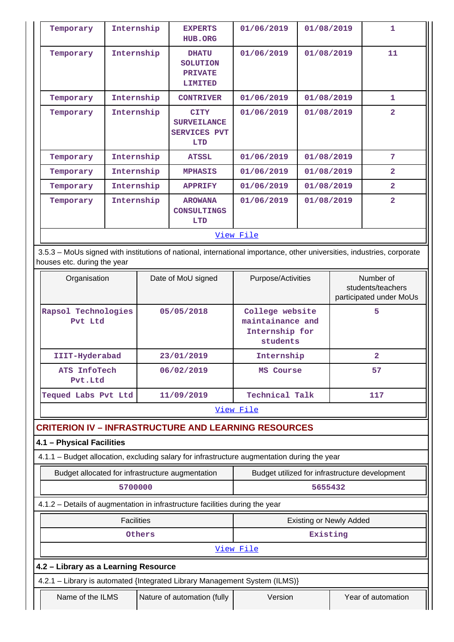| Temporary | Internship | <b>EXPERTS</b><br><b>HUB.ORG</b>                                       | 01/06/2019 | 01/08/2019 | 1.             |  |  |  |
|-----------|------------|------------------------------------------------------------------------|------------|------------|----------------|--|--|--|
| Temporary | Internship | <b>DHATU</b><br><b>SOLUTION</b><br><b>PRIVATE</b><br><b>LIMITED</b>    | 01/06/2019 | 01/08/2019 | 11             |  |  |  |
| Temporary | Internship | <b>CONTRIVER</b>                                                       | 01/06/2019 | 01/08/2019 | $\mathbf{1}$   |  |  |  |
| Temporary | Internship | <b>CITY</b><br><b>SURVEILANCE</b><br><b>SERVICES PVT</b><br><b>LTD</b> | 01/06/2019 | 01/08/2019 | $\overline{2}$ |  |  |  |
| Temporary | Internship | <b>ATSSL</b>                                                           | 01/06/2019 | 01/08/2019 | 7              |  |  |  |
| Temporary | Internship | <b>MPHASIS</b>                                                         | 01/06/2019 | 01/08/2019 | $\overline{2}$ |  |  |  |
| Temporary | Internship | <b>APPRIFY</b>                                                         | 01/06/2019 | 01/08/2019 | $\overline{a}$ |  |  |  |
| Temporary | Internship | <b>AROWANA</b><br><b>CONSULTINGS</b><br><b>LTD</b>                     | 01/06/2019 | 01/08/2019 | $\overline{2}$ |  |  |  |
|           |            | View File                                                              |            |            |                |  |  |  |

 3.5.3 – MoUs signed with institutions of national, international importance, other universities, industries, corporate houses etc. during the year

| Organisation                   | Date of MoU signed | Purpose/Activities                                                | Number of<br>students/teachers<br>participated under MoUs |
|--------------------------------|--------------------|-------------------------------------------------------------------|-----------------------------------------------------------|
| Rapsol Technologies<br>Pvt Ltd | 05/05/2018         | College website<br>maintainance and<br>Internship for<br>students | 5                                                         |
| IIIT-Hyderabad                 | 23/01/2019         | Internship                                                        | 2                                                         |
| ATS InfoTech<br>Pvt.Ltd        | 06/02/2019         | MS Course                                                         | 57                                                        |
| Tequed Labs Pvt Ltd            | 11/09/2019         | Technical Talk                                                    | 117                                                       |

[View File](https://assessmentonline.naac.gov.in/public/Postacc/MoU/5304_MoU_1596018467.xlsx)

# **CRITERION IV – INFRASTRUCTURE AND LEARNING RESOURCES**

# **4.1 – Physical Facilities**

4.1.1 – Budget allocation, excluding salary for infrastructure augmentation during the year

| Budget allocated for infrastructure augmentation                             | Budget utilized for infrastructure development |
|------------------------------------------------------------------------------|------------------------------------------------|
| 5700000                                                                      | 5655432                                        |
| 4.1.2 – Details of augmentation in infrastructure facilities during the year |                                                |

| <b>Existing or Newly Added</b><br><b>Facilities</b>                        |          |                    |  |  |  |  |
|----------------------------------------------------------------------------|----------|--------------------|--|--|--|--|
| Others                                                                     | Existing |                    |  |  |  |  |
| View File                                                                  |          |                    |  |  |  |  |
| 4.2 – Library as a Learning Resource                                       |          |                    |  |  |  |  |
| 4.2.1 - Library is automated {Integrated Library Management System (ILMS)} |          |                    |  |  |  |  |
| Name of the ILMS<br>Nature of automation (fully                            | Version  | Year of automation |  |  |  |  |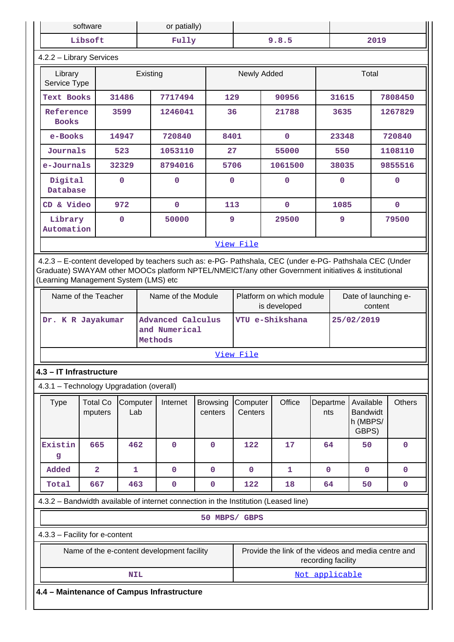|                                            | software                                   | or patially)    |         |                                           |                            |                                          |                                                                                                                                                                                                                |                    |                                 |                                                   |  |               |
|--------------------------------------------|--------------------------------------------|-----------------|---------|-------------------------------------------|----------------------------|------------------------------------------|----------------------------------------------------------------------------------------------------------------------------------------------------------------------------------------------------------------|--------------------|---------------------------------|---------------------------------------------------|--|---------------|
|                                            | Libsoft<br>Fully                           |                 |         | 9.8.5                                     |                            | 2019                                     |                                                                                                                                                                                                                |                    |                                 |                                                   |  |               |
| 4.2.2 - Library Services                   |                                            |                 |         |                                           |                            |                                          |                                                                                                                                                                                                                |                    |                                 |                                                   |  |               |
|                                            | Existing<br>Library<br>Service Type        |                 |         |                                           |                            | Newly Added                              |                                                                                                                                                                                                                |                    |                                 | Total                                             |  |               |
| Text Books                                 |                                            | 31486           |         | 7717494                                   | 129                        |                                          | 90956                                                                                                                                                                                                          |                    | 31615                           |                                                   |  | 7808450       |
|                                            | Reference<br>3599<br><b>Books</b>          |                 |         | 1246041                                   | 36                         |                                          | 21788                                                                                                                                                                                                          |                    | 3635                            |                                                   |  | 1267829       |
|                                            | e-Books<br>14947                           |                 |         | 720840                                    | 8401                       |                                          | $\mathbf{0}$                                                                                                                                                                                                   |                    | 23348                           |                                                   |  | 720840        |
| Journals                                   |                                            | 523             |         | 1053110                                   | 27                         |                                          | 55000                                                                                                                                                                                                          |                    | 550                             |                                                   |  | 1108110       |
| e-Journals                                 |                                            | 32329           |         | 8794016                                   | 5706                       |                                          | 1061500                                                                                                                                                                                                        |                    | 38035                           |                                                   |  | 9855516       |
| Digital<br>Database                        |                                            | $\mathbf{O}$    |         | 0                                         |                            | 0                                        | $\mathbf{0}$                                                                                                                                                                                                   |                    | $\mathbf 0$                     |                                                   |  | 0             |
| CD & Video                                 |                                            | 972             |         | $\mathbf 0$                               | 113                        |                                          | $\mathbf 0$                                                                                                                                                                                                    |                    | 1085                            |                                                   |  | $\mathbf{0}$  |
| Library<br>Automation                      |                                            | $\mathbf 0$     |         | 50000                                     | 9                          |                                          | 29500                                                                                                                                                                                                          |                    | 9                               |                                                   |  | 79500         |
|                                            |                                            |                 |         |                                           |                            | View File                                |                                                                                                                                                                                                                |                    |                                 |                                                   |  |               |
| (Learning Management System (LMS) etc      |                                            |                 |         |                                           |                            |                                          | 4.2.3 - E-content developed by teachers such as: e-PG- Pathshala, CEC (under e-PG- Pathshala CEC (Under<br>Graduate) SWAYAM other MOOCs platform NPTEL/NMEICT/any other Government initiatives & institutional |                    |                                 |                                                   |  |               |
|                                            | Name of the Teacher                        |                 |         | Name of the Module                        |                            | Platform on which module<br>is developed |                                                                                                                                                                                                                |                    | Date of launching e-<br>content |                                                   |  |               |
|                                            | Dr. K R Jayakumar                          |                 | Methods | <b>Advanced Calculus</b><br>and Numerical |                            | VTU e-Shikshana                          |                                                                                                                                                                                                                |                    | 25/02/2019                      |                                                   |  |               |
|                                            |                                            |                 |         |                                           |                            | View File                                |                                                                                                                                                                                                                |                    |                                 |                                                   |  |               |
| 4.3 - IT Infrastructure                    |                                            |                 |         |                                           |                            |                                          |                                                                                                                                                                                                                |                    |                                 |                                                   |  |               |
| 4.3.1 - Technology Upgradation (overall)   |                                            |                 |         |                                           |                            |                                          |                                                                                                                                                                                                                |                    |                                 |                                                   |  |               |
| <b>Type</b>                                | <b>Total Co</b><br>mputers                 | Computer<br>Lab |         | Internet                                  | <b>Browsing</b><br>centers | Computer<br>Centers                      | Office                                                                                                                                                                                                         | Departme<br>nts    |                                 | Available<br><b>Bandwidt</b><br>h (MBPS/<br>GBPS) |  | <b>Others</b> |
| Existin<br>g                               | 665                                        | 462             |         | $\mathbf 0$                               | $\mathbf 0$                | 122                                      | 17                                                                                                                                                                                                             | 64                 |                                 | 50                                                |  | $\mathbf 0$   |
| Added                                      | $\overline{\mathbf{2}}$                    | $\mathbf{1}$    |         | $\mathbf 0$                               | $\mathbf 0$                | $\mathbf 0$                              | 1                                                                                                                                                                                                              | $\mathbf{0}$       |                                 | $\mathbf{0}$                                      |  | $\mathbf 0$   |
| Total                                      | 667                                        | 463             |         | $\mathbf 0$                               | 0                          | 122                                      | 18                                                                                                                                                                                                             | 64                 |                                 | 50                                                |  | $\pmb{0}$     |
|                                            |                                            |                 |         |                                           |                            |                                          | 4.3.2 - Bandwidth available of internet connection in the Institution (Leased line)                                                                                                                            |                    |                                 |                                                   |  |               |
|                                            |                                            |                 |         |                                           | 50 MBPS/ GBPS              |                                          |                                                                                                                                                                                                                |                    |                                 |                                                   |  |               |
| 4.3.3 - Facility for e-content             |                                            |                 |         |                                           |                            |                                          |                                                                                                                                                                                                                |                    |                                 |                                                   |  |               |
|                                            | Name of the e-content development facility |                 |         |                                           |                            |                                          | Provide the link of the videos and media centre and                                                                                                                                                            | recording facility |                                 |                                                   |  |               |
|                                            |                                            | <b>NIL</b>      |         |                                           |                            |                                          |                                                                                                                                                                                                                | Not applicable     |                                 |                                                   |  |               |
| 4.4 - Maintenance of Campus Infrastructure |                                            |                 |         |                                           |                            |                                          |                                                                                                                                                                                                                |                    |                                 |                                                   |  |               |
|                                            |                                            |                 |         |                                           |                            |                                          |                                                                                                                                                                                                                |                    |                                 |                                                   |  |               |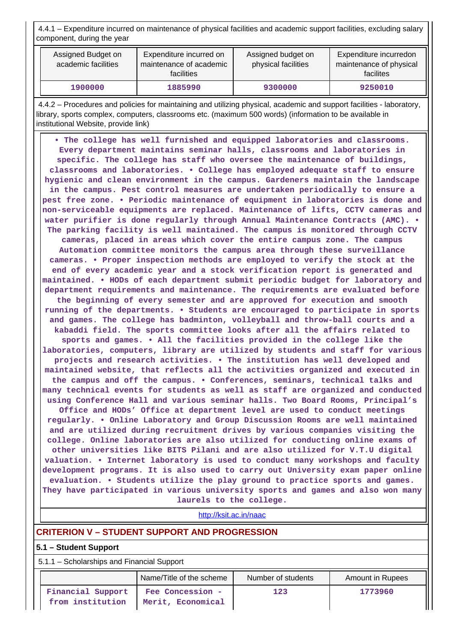4.4.1 – Expenditure incurred on maintenance of physical facilities and academic support facilities, excluding salary component, during the year

| Assigned Budget on<br>academic facilities | Expenditure incurred on<br>maintenance of academic<br>facilities | Assigned budget on<br>physical facilities | Expenditure incurredon<br>maintenance of physical<br>facilites |  |
|-------------------------------------------|------------------------------------------------------------------|-------------------------------------------|----------------------------------------------------------------|--|
| 1900000                                   | 1885990                                                          | 9300000                                   | 9250010                                                        |  |

 4.4.2 – Procedures and policies for maintaining and utilizing physical, academic and support facilities - laboratory, library, sports complex, computers, classrooms etc. (maximum 500 words) (information to be available in institutional Website, provide link)

 **• The college has well furnished and equipped laboratories and classrooms. Every department maintains seminar halls, classrooms and laboratories in specific. The college has staff who oversee the maintenance of buildings, classrooms and laboratories. • College has employed adequate staff to ensure hygienic and clean environment in the campus. Gardeners maintain the landscape in the campus. Pest control measures are undertaken periodically to ensure a pest free zone. • Periodic maintenance of equipment in laboratories is done and non-serviceable equipments are replaced. Maintenance of lifts, CCTV cameras and water purifier is done regularly through Annual Maintenance Contracts (AMC). • The parking facility is well maintained. The campus is monitored through CCTV cameras, placed in areas which cover the entire campus zone. The campus Automation committee monitors the campus area through these surveillance cameras. • Proper inspection methods are employed to verify the stock at the end of every academic year and a stock verification report is generated and maintained. • HODs of each department submit periodic budget for laboratory and department requirements and maintenance. The requirements are evaluated before the beginning of every semester and are approved for execution and smooth running of the departments. • Students are encouraged to participate in sports and games. The college has badminton, volleyball and throw-ball courts and a kabaddi field. The sports committee looks after all the affairs related to sports and games. • All the facilities provided in the college like the laboratories, computers, library are utilized by students and staff for various projects and research activities. • The institution has well developed and maintained website, that reflects all the activities organized and executed in the campus and off the campus. • Conferences, seminars, technical talks and many technical events for students as well as staff are organized and conducted using Conference Hall and various seminar halls. Two Board Rooms, Principal's Office and HODs' Office at department level are used to conduct meetings regularly. • Online Laboratory and Group Discussion Rooms are well maintained and are utilized during recruitment drives by various companies visiting the college. Online laboratories are also utilized for conducting online exams of other universities like BITS Pilani and are also utilized for V.T.U digital valuation. • Internet laboratory is used to conduct many workshops and faculty development programs. It is also used to carry out University exam paper online evaluation. • Students utilize the play ground to practice sports and games. They have participated in various university sports and games and also won many laurels to the college.**

<http://ksit.ac.in/naac>

### **CRITERION V – STUDENT SUPPORT AND PROGRESSION**

#### **5.1 – Student Support**

5.1.1 – Scholarships and Financial Support

|                                       | Name/Title of the scheme              | Number of students | Amount in Rupees |  |  |
|---------------------------------------|---------------------------------------|--------------------|------------------|--|--|
| Financial Support<br>from institution | Fee Concession -<br>Merit, Economical | 123                | 1773960          |  |  |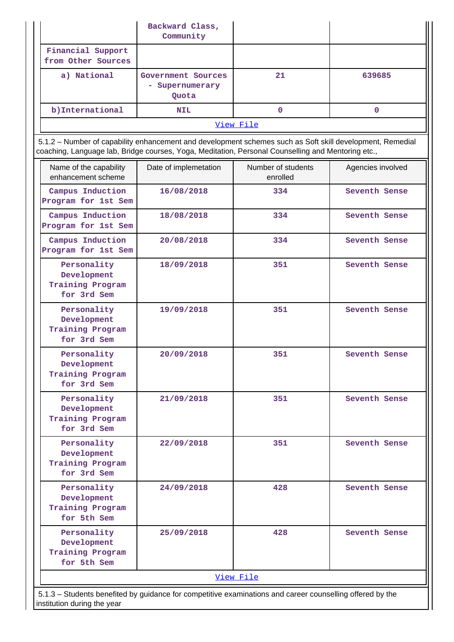|                                                                                                                                                                                                                 | Backward Class,<br>Community                   |                                |                   |  |  |
|-----------------------------------------------------------------------------------------------------------------------------------------------------------------------------------------------------------------|------------------------------------------------|--------------------------------|-------------------|--|--|
| Financial Support<br>from Other Sources                                                                                                                                                                         |                                                |                                |                   |  |  |
| a) National                                                                                                                                                                                                     | Government Sources<br>- Supernumerary<br>Quota | 21                             | 639685            |  |  |
| b) International                                                                                                                                                                                                | <b>NIL</b>                                     | $\Omega$                       | $\mathbf{0}$      |  |  |
|                                                                                                                                                                                                                 |                                                | View File                      |                   |  |  |
| 5.1.2 - Number of capability enhancement and development schemes such as Soft skill development, Remedial<br>coaching, Language lab, Bridge courses, Yoga, Meditation, Personal Counselling and Mentoring etc., |                                                |                                |                   |  |  |
| Name of the capability<br>enhancement scheme                                                                                                                                                                    | Date of implemetation                          | Number of students<br>enrolled | Agencies involved |  |  |
| Campus Induction<br>Program for 1st Sem                                                                                                                                                                         | 16/08/2018                                     | 334                            | Seventh Sense     |  |  |
| Campus Induction<br>Program for 1st Sem                                                                                                                                                                         | 18/08/2018                                     | 334                            | Seventh Sense     |  |  |
| Campus Induction<br>Program for 1st Sem                                                                                                                                                                         | 20/08/2018                                     | 334                            | Seventh Sense     |  |  |
| Personality<br>Development<br>Training Program<br>for 3rd Sem                                                                                                                                                   | 18/09/2018                                     | 351                            | Seventh Sense     |  |  |
| Personality<br>Development<br>Training Program<br>for 3rd Sem                                                                                                                                                   | 19/09/2018                                     | 351                            | Seventh Sense     |  |  |
| Personality<br>Development<br>Training Program<br>for 3rd Sem                                                                                                                                                   | 20/09/2018                                     | 351                            | Seventh Sense     |  |  |
| Personality<br>Development<br>Training Program<br>for 3rd Sem                                                                                                                                                   | 21/09/2018                                     | 351                            | Seventh Sense     |  |  |
| Personality<br>Development<br>Training Program<br>for 3rd Sem                                                                                                                                                   | 22/09/2018                                     | 351                            | Seventh Sense     |  |  |
| Personality<br>Development<br>Training Program<br>for 5th Sem                                                                                                                                                   | 24/09/2018                                     | 428                            | Seventh Sense     |  |  |
| Personality<br>Development<br>Training Program<br>for 5th Sem                                                                                                                                                   | 25/09/2018                                     | 428                            | Seventh Sense     |  |  |
|                                                                                                                                                                                                                 |                                                | View File                      |                   |  |  |
| 5.1.3 – Students benefited by guidance for competitive examinations and career counselling offered by the<br>institution during the year                                                                        |                                                |                                |                   |  |  |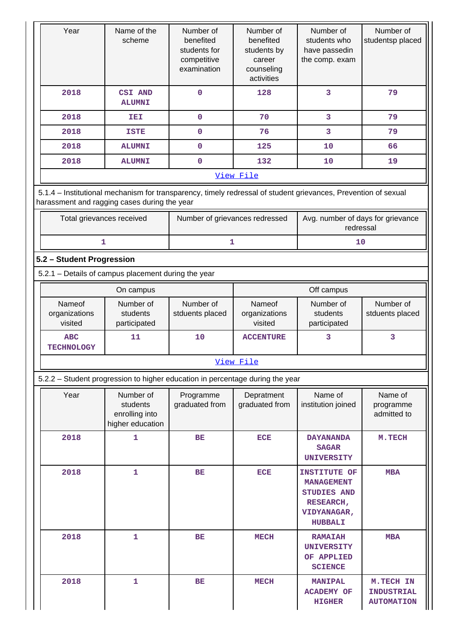| Year                                                                                                                                                           | Name of the<br>scheme                                                                                         | Number of<br>benefited<br>students for<br>competitive<br>examination | Number of<br>benefited<br>students by<br>career<br>counseling<br>activities | Number of<br>students who<br>have passedin<br>the comp. exam                                                 | Number of<br>studentsp placed                       |  |  |
|----------------------------------------------------------------------------------------------------------------------------------------------------------------|---------------------------------------------------------------------------------------------------------------|----------------------------------------------------------------------|-----------------------------------------------------------------------------|--------------------------------------------------------------------------------------------------------------|-----------------------------------------------------|--|--|
| 2018                                                                                                                                                           | <b>CSI AND</b><br><b>ALUMNI</b>                                                                               | $\mathbf{O}$                                                         | 128                                                                         | 3                                                                                                            | 79                                                  |  |  |
| 2018                                                                                                                                                           | IEI                                                                                                           | $\mathbf 0$                                                          | 70                                                                          | 3                                                                                                            | 79                                                  |  |  |
| 2018                                                                                                                                                           | <b>ISTE</b>                                                                                                   | $\mathbf 0$                                                          | 76                                                                          | 3                                                                                                            | 79                                                  |  |  |
| 2018                                                                                                                                                           | <b>ALUMNI</b>                                                                                                 | $\mathbf 0$                                                          | 125                                                                         | 10                                                                                                           | 66                                                  |  |  |
| 2018                                                                                                                                                           | <b>ALUMNI</b>                                                                                                 | 0                                                                    | 132                                                                         | 10                                                                                                           | 19                                                  |  |  |
|                                                                                                                                                                | View File                                                                                                     |                                                                      |                                                                             |                                                                                                              |                                                     |  |  |
| 5.1.4 - Institutional mechanism for transparency, timely redressal of student grievances, Prevention of sexual<br>harassment and ragging cases during the year |                                                                                                               |                                                                      |                                                                             |                                                                                                              |                                                     |  |  |
|                                                                                                                                                                | Total grievances received<br>Avg. number of days for grievance<br>Number of grievances redressed<br>redressal |                                                                      |                                                                             |                                                                                                              |                                                     |  |  |
|                                                                                                                                                                | 1<br>1<br>10                                                                                                  |                                                                      |                                                                             |                                                                                                              |                                                     |  |  |
| 5.2 - Student Progression                                                                                                                                      |                                                                                                               |                                                                      |                                                                             |                                                                                                              |                                                     |  |  |
| 5.2.1 - Details of campus placement during the year                                                                                                            |                                                                                                               |                                                                      |                                                                             |                                                                                                              |                                                     |  |  |
|                                                                                                                                                                | On campus                                                                                                     |                                                                      |                                                                             | Off campus                                                                                                   |                                                     |  |  |
| Nameof<br>organizations<br>visited                                                                                                                             | Number of<br>students<br>participated                                                                         | Number of<br>stduents placed                                         | Nameof<br>organizations<br>visited                                          | Number of<br>students<br>participated                                                                        | Number of<br>stduents placed                        |  |  |
| <b>ABC</b><br><b>TECHNOLOGY</b>                                                                                                                                | 11                                                                                                            | 10                                                                   | <b>ACCENTURE</b>                                                            | 3                                                                                                            | 3                                                   |  |  |
|                                                                                                                                                                |                                                                                                               |                                                                      | View File                                                                   |                                                                                                              |                                                     |  |  |
| 5.2.2 - Student progression to higher education in percentage during the year                                                                                  |                                                                                                               |                                                                      |                                                                             |                                                                                                              |                                                     |  |  |
| Year                                                                                                                                                           | Number of<br>students<br>enrolling into<br>higher education                                                   | Programme<br>graduated from                                          | Depratment<br>graduated from                                                | Name of<br>institution joined                                                                                | Name of<br>programme<br>admitted to                 |  |  |
| 2018                                                                                                                                                           | 1                                                                                                             | BE                                                                   | <b>ECE</b>                                                                  | <b>DAYANANDA</b><br><b>SAGAR</b><br><b>UNIVERSITY</b>                                                        | M.TECH                                              |  |  |
| 2018                                                                                                                                                           | 1                                                                                                             | <b>BE</b>                                                            | <b>ECE</b>                                                                  | <b>INSTITUTE OF</b><br><b>MANAGEMENT</b><br>STUDIES AND<br><b>RESEARCH,</b><br>VIDYANAGAR,<br><b>HUBBALI</b> | <b>MBA</b>                                          |  |  |
| 2018                                                                                                                                                           | 1                                                                                                             | <b>BE</b>                                                            | <b>MECH</b>                                                                 | <b>RAMAIAH</b><br><b>UNIVERSITY</b><br>OF APPLIED<br><b>SCIENCE</b>                                          | <b>MBA</b>                                          |  |  |
| 2018                                                                                                                                                           | 1                                                                                                             | BE                                                                   | <b>MECH</b>                                                                 | <b>MANIPAL</b><br><b>ACADEMY OF</b><br><b>HIGHER</b>                                                         | M.TECH IN<br><b>INDUSTRIAL</b><br><b>AUTOMATION</b> |  |  |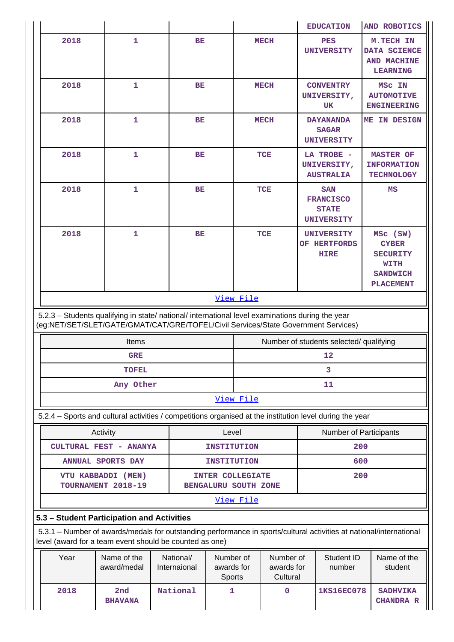|                          |                                                                                                           |                                                                                                    |                                   |                                     | <b>EDUCATION</b>                                                                                                              | AND ROBOTICS                                                                               |  |
|--------------------------|-----------------------------------------------------------------------------------------------------------|----------------------------------------------------------------------------------------------------|-----------------------------------|-------------------------------------|-------------------------------------------------------------------------------------------------------------------------------|--------------------------------------------------------------------------------------------|--|
| 2018                     | 1                                                                                                         | BE                                                                                                 |                                   | <b>MECH</b>                         | <b>PES</b><br><b>UNIVERSITY</b>                                                                                               | M.TECH IN<br>DATA SCIENCE<br>AND MACHINE<br><b>LEARNING</b>                                |  |
| 2018                     | 1                                                                                                         | BE                                                                                                 |                                   | <b>MECH</b>                         | <b>CONVENTRY</b><br>UNIVERSITY,<br>UK                                                                                         | MSC IN<br><b>AUTOMOTIVE</b><br><b>ENGINEERING</b>                                          |  |
| 2018                     | 1                                                                                                         | <b>BE</b>                                                                                          |                                   | <b>MECH</b>                         | <b>DAYANANDA</b><br><b>SAGAR</b><br><b>UNIVERSITY</b>                                                                         | ME IN DESIGN                                                                               |  |
| 2018                     | $\mathbf{1}$                                                                                              | BE                                                                                                 |                                   | TCE                                 | LA TROBE -<br>UNIVERSITY,<br><b>AUSTRALIA</b>                                                                                 | <b>MASTER OF</b><br><b>INFORMATION</b><br><b>TECHNOLOGY</b>                                |  |
| 2018                     | $\mathbf{1}$                                                                                              | BE                                                                                                 |                                   | TCE                                 | <b>SAN</b><br><b>FRANCISCO</b><br><b>STATE</b><br><b>UNIVERSITY</b>                                                           | MS                                                                                         |  |
| 2018                     | $\mathbf{1}$                                                                                              | BE                                                                                                 |                                   | <b>TCE</b>                          | <b>UNIVERSITY</b><br>OF HERTFORDS<br><b>HIRE</b>                                                                              | MSC (SW)<br><b>CYBER</b><br><b>SECURITY</b><br>WITH<br><b>SANDWICH</b><br><b>PLACEMENT</b> |  |
|                          | 5.2.3 - Students qualifying in state/ national/ international level examinations during the year<br>Items |                                                                                                    |                                   |                                     | (eg:NET/SET/SLET/GATE/GMAT/CAT/GRE/TOFEL/Civil Services/State Government Services)<br>Number of students selected/ qualifying |                                                                                            |  |
|                          | <b>GRE</b>                                                                                                |                                                                                                    |                                   |                                     | 12                                                                                                                            |                                                                                            |  |
|                          | <b>TOFEL</b>                                                                                              |                                                                                                    |                                   |                                     | 3                                                                                                                             |                                                                                            |  |
|                          | Any Other                                                                                                 |                                                                                                    |                                   |                                     | 11                                                                                                                            |                                                                                            |  |
|                          |                                                                                                           |                                                                                                    | View File                         |                                     |                                                                                                                               |                                                                                            |  |
|                          |                                                                                                           |                                                                                                    |                                   |                                     | 5.2.4 - Sports and cultural activities / competitions organised at the institution level during the year                      |                                                                                            |  |
|                          | Activity                                                                                                  |                                                                                                    | Level                             |                                     | Number of Participants                                                                                                        |                                                                                            |  |
|                          | CULTURAL FEST - ANANYA                                                                                    |                                                                                                    | <b>INSTITUTION</b>                |                                     | 200                                                                                                                           |                                                                                            |  |
| <b>ANNUAL SPORTS DAY</b> |                                                                                                           |                                                                                                    | <b>INSTITUTION</b>                |                                     | 600                                                                                                                           |                                                                                            |  |
|                          |                                                                                                           | 200<br>VTU KABBADDI (MEN)<br><b>INTER COLLEGIATE</b><br>TOURNAMENT 2018-19<br>BENGALURU SOUTH ZONE |                                   |                                     |                                                                                                                               |                                                                                            |  |
|                          |                                                                                                           |                                                                                                    |                                   |                                     |                                                                                                                               |                                                                                            |  |
|                          |                                                                                                           |                                                                                                    | View File                         |                                     |                                                                                                                               |                                                                                            |  |
|                          | 5.3 - Student Participation and Activities                                                                |                                                                                                    |                                   |                                     |                                                                                                                               |                                                                                            |  |
|                          | level (award for a team event should be counted as one)                                                   |                                                                                                    |                                   |                                     | 5.3.1 - Number of awards/medals for outstanding performance in sports/cultural activities at national/international           |                                                                                            |  |
| Year                     | Name of the<br>award/medal                                                                                | National/<br>Internaional                                                                          | Number of<br>awards for<br>Sports | Number of<br>awards for<br>Cultural | Student ID<br>number                                                                                                          | Name of the<br>student                                                                     |  |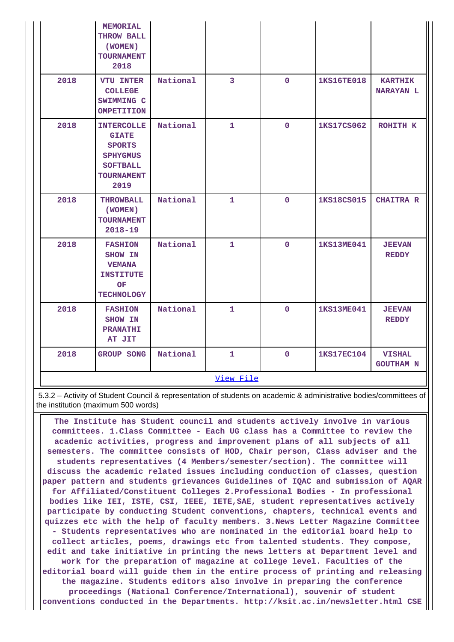|      | <b>MEMORIAL</b><br>THROW BALL<br>(WOMEN)<br><b>TOURNAMENT</b><br>2018                                                 |          |                         |              |                   |                                    |
|------|-----------------------------------------------------------------------------------------------------------------------|----------|-------------------------|--------------|-------------------|------------------------------------|
| 2018 | <b>VTU INTER</b><br><b>COLLEGE</b><br>SWIMMING C<br><b>OMPETITION</b>                                                 | National | $\overline{\mathbf{3}}$ | $\mathbf{0}$ | <b>1KS16TE018</b> | <b>KARTHIK</b><br><b>NARAYAN L</b> |
| 2018 | <b>INTERCOLLE</b><br><b>GIATE</b><br><b>SPORTS</b><br><b>SPHYGMUS</b><br><b>SOFTBALL</b><br><b>TOURNAMENT</b><br>2019 | National | $\mathbf{1}$            | $\Omega$     | <b>1KS17CS062</b> | ROHITH K                           |
| 2018 | <b>THROWBALL</b><br>(WOMEN)<br><b>TOURNAMENT</b><br>$2018 - 19$                                                       | National | $\mathbf{1}$            | $\mathbf{0}$ | <b>1KS18CS015</b> | <b>CHAITRA R</b>                   |
| 2018 | <b>FASHION</b><br><b>SHOW IN</b><br><b>VEMANA</b><br><b>INSTITUTE</b><br><b>OF</b><br><b>TECHNOLOGY</b>               | National | $\mathbf{1}$            | $\mathbf{0}$ | <b>1KS13ME041</b> | <b>JEEVAN</b><br><b>REDDY</b>      |
| 2018 | <b>FASHION</b><br><b>SHOW IN</b><br><b>PRANATHI</b><br>AT JIT                                                         | National | $\mathbf{1}$            | $\Omega$     | <b>1KS13ME041</b> | <b>JEEVAN</b><br><b>REDDY</b>      |
| 2018 | <b>GROUP SONG</b>                                                                                                     | National | $\mathbf{1}$            | $\Omega$     | <b>1KS17EC104</b> | <b>VISHAL</b><br><b>GOUTHAM N</b>  |
|      |                                                                                                                       |          | View File               |              |                   |                                    |

 5.3.2 – Activity of Student Council & representation of students on academic & administrative bodies/committees of the institution (maximum 500 words)

 **The Institute has Student council and students actively involve in various committees. 1.Class Committee - Each UG class has a Committee to review the academic activities, progress and improvement plans of all subjects of all semesters. The committee consists of HOD, Chair person, Class adviser and the students representatives (4 Members/semester/section). The committee will discuss the academic related issues including conduction of classes, question paper pattern and students grievances Guidelines of IQAC and submission of AQAR for Affiliated/Constituent Colleges 2.Professional Bodies - In professional bodies like IEI, ISTE, CSI, IEEE, IETE,SAE, student representatives actively participate by conducting Student conventions, chapters, technical events and quizzes etc with the help of faculty members. 3.News Letter Magazine Committee - Students representatives who are nominated in the editorial board help to collect articles, poems, drawings etc from talented students. They compose, edit and take initiative in printing the news letters at Department level and work for the preparation of magazine at college level. Faculties of the editorial board will guide them in the entire process of printing and releasing the magazine. Students editors also involve in preparing the conference proceedings (National Conference/International), souvenir of student conventions conducted in the Departments. http://ksit.ac.in/newsletter.html CSE**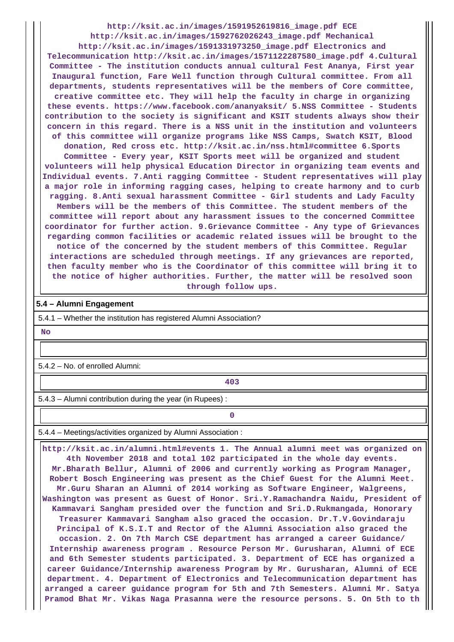**http://ksit.ac.in/images/1591952619816\_image.pdf ECE http://ksit.ac.in/images/1592762026243\_image.pdf Mechanical http://ksit.ac.in/images/1591331973250\_image.pdf Electronics and Telecommunication http://ksit.ac.in/images/1571122287580\_image.pdf 4.Cultural Committee - The institution conducts annual cultural Fest Ananya, First year Inaugural function, Fare Well function through Cultural committee. From all departments, students representatives will be the members of Core committee, creative committee etc. They will help the faculty in charge in organizing these events. https://www.facebook.com/ananyaksit/ 5.NSS Committee - Students contribution to the society is significant and KSIT students always show their concern in this regard. There is a NSS unit in the institution and volunteers of this committee will organize programs like NSS Camps, Swatch KSIT, Blood donation, Red cross etc. http://ksit.ac.in/nss.html#committee 6.Sports Committee - Every year, KSIT Sports meet will be organized and student volunteers will help physical Education Director in organizing team events and Individual events. 7.Anti ragging Committee - Student representatives will play a major role in informing ragging cases, helping to create harmony and to curb ragging. 8.Anti sexual harassment Committee - Girl students and Lady Faculty Members will be the members of this Committee. The student members of the committee will report about any harassment issues to the concerned Committee coordinator for further action. 9.Grievance Committee - Any type of Grievances regarding common facilities or academic related issues will be brought to the notice of the concerned by the student members of this Committee. Regular interactions are scheduled through meetings. If any grievances are reported, then faculty member who is the Coordinator of this committee will bring it to the notice of higher authorities. Further, the matter will be resolved soon through follow ups.**

#### **5.4 – Alumni Engagement**

5.4.1 – Whether the institution has registered Alumni Association?

 **No**

5.4.2 – No. of enrolled Alumni:

**403**

5.4.3 – Alumni contribution during the year (in Rupees) :

**0**

5.4.4 – Meetings/activities organized by Alumni Association :

 **http://ksit.ac.in/alumni.html#events 1. The Annual alumni meet was organized on 4th November 2018 and total 102 participated in the whole day events. Mr.Bharath Bellur, Alumni of 2006 and currently working as Program Manager, Robert Bosch Engineering was present as the Chief Guest for the Alumni Meet. Mr.Guru Sharan an Alumni of 2014 working as Software Engineer, Walgreens, Washington was present as Guest of Honor. Sri.Y.Ramachandra Naidu, President of Kammavari Sangham presided over the function and Sri.D.Rukmangada, Honorary Treasurer Kammavari Sangham also graced the occasion. Dr.T.V.Govindaraju Principal of K.S.I.T and Rector of the Alumni Association also graced the occasion. 2. On 7th March CSE department has arranged a career Guidance/ Internship awareness program . Resource Person Mr. Gurusharan, Alumni of ECE and 6th Semester students participated. 3. Department of ECE has organized a career Guidance/Internship awareness Program by Mr. Gurusharan, Alumni of ECE department. 4. Department of Electronics and Telecommunication department has arranged a career guidance program for 5th and 7th Semesters. Alumni Mr. Satya Pramod Bhat Mr. Vikas Naga Prasanna were the resource persons. 5. On 5th to th**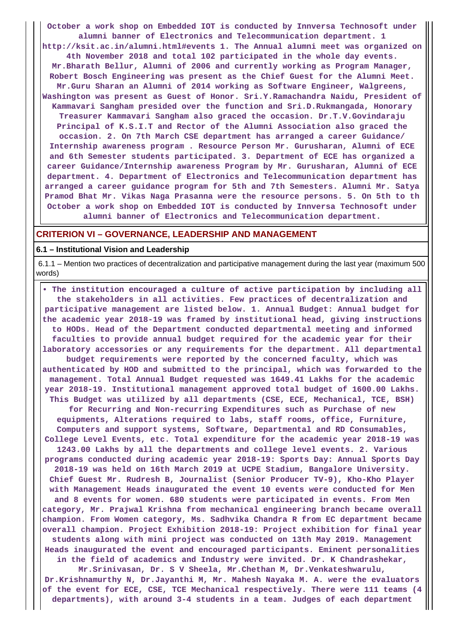**October a work shop on Embedded IOT is conducted by Innversa Technosoft under**

**alumni banner of Electronics and Telecommunication department. 1 http://ksit.ac.in/alumni.html#events 1. The Annual alumni meet was organized on 4th November 2018 and total 102 participated in the whole day events. Mr.Bharath Bellur, Alumni of 2006 and currently working as Program Manager, Robert Bosch Engineering was present as the Chief Guest for the Alumni Meet. Mr.Guru Sharan an Alumni of 2014 working as Software Engineer, Walgreens, Washington was present as Guest of Honor. Sri.Y.Ramachandra Naidu, President of Kammavari Sangham presided over the function and Sri.D.Rukmangada, Honorary Treasurer Kammavari Sangham also graced the occasion. Dr.T.V.Govindaraju Principal of K.S.I.T and Rector of the Alumni Association also graced the occasion. 2. On 7th March CSE department has arranged a career Guidance/ Internship awareness program . Resource Person Mr. Gurusharan, Alumni of ECE and 6th Semester students participated. 3. Department of ECE has organized a career Guidance/Internship awareness Program by Mr. Gurusharan, Alumni of ECE department. 4. Department of Electronics and Telecommunication department has**

**arranged a career guidance program for 5th and 7th Semesters. Alumni Mr. Satya Pramod Bhat Mr. Vikas Naga Prasanna were the resource persons. 5. On 5th to th October a work shop on Embedded IOT is conducted by Innversa Technosoft under alumni banner of Electronics and Telecommunication department.**

### **CRITERION VI – GOVERNANCE, LEADERSHIP AND MANAGEMENT**

#### **6.1 – Institutional Vision and Leadership**

 6.1.1 – Mention two practices of decentralization and participative management during the last year (maximum 500 words)

 **• The institution encouraged a culture of active participation by including all the stakeholders in all activities. Few practices of decentralization and participative management are listed below. 1. Annual Budget: Annual budget for the academic year 2018-19 was framed by institutional head, giving instructions to HODs. Head of the Department conducted departmental meeting and informed faculties to provide annual budget required for the academic year for their laboratory accessories or any requirements for the department. All departmental budget requirements were reported by the concerned faculty, which was authenticated by HOD and submitted to the principal, which was forwarded to the management. Total Annual Budget requested was 1649.41 Lakhs for the academic year 2018-19. Institutional management approved total budget of 1600.00 Lakhs. This Budget was utilized by all departments (CSE, ECE, Mechanical, TCE, BSH) for Recurring and Non-recurring Expenditures such as Purchase of new equipments, Alterations required to labs, staff rooms, office, Furniture, Computers and support systems, Software, Departmental and RD Consumables, College Level Events, etc. Total expenditure for the academic year 2018-19 was 1243.00 Lakhs by all the departments and college level events. 2. Various programs conducted during academic year 2018-19: Sports Day: Annual Sports Day 2018-19 was held on 16th March 2019 at UCPE Stadium, Bangalore University. Chief Guest Mr. Rudresh B, Journalist (Senior Producer TV-9), Kho-Kho Player with Management Heads inaugurated the event 10 events were conducted for Men and 8 events for women. 680 students were participated in events. From Men category, Mr. Prajwal Krishna from mechanical engineering branch became overall champion. From Women category, Ms. Sadhvika Chandra R from EC department became overall champion. Project Exhibition 2018-19: Project exhibition for final year students along with mini project was conducted on 13th May 2019. Management Heads inaugurated the event and encouraged participants. Eminent personalities in the field of academics and Industry were invited. Dr. K Chandrashekar, Mr.Srinivasan, Dr. S V Sheela, Mr.Chethan M, Dr.Venkateshwarulu, Dr.Krishnamurthy N, Dr.Jayanthi M, Mr. Mahesh Nayaka M. A. were the evaluators**

**of the event for ECE, CSE, TCE Mechanical respectively. There were 111 teams (4 departments), with around 3-4 students in a team. Judges of each department**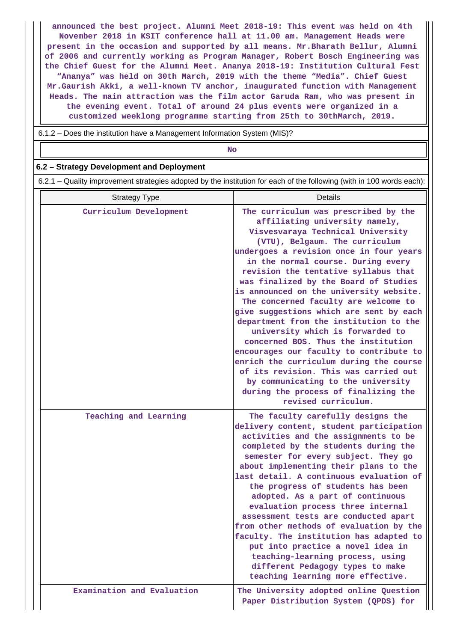**announced the best project. Alumni Meet 2018-19: This event was held on 4th November 2018 in KSIT conference hall at 11.00 am. Management Heads were present in the occasion and supported by all means. Mr.Bharath Bellur, Alumni of 2006 and currently working as Program Manager, Robert Bosch Engineering was the Chief Guest for the Alumni Meet. Ananya 2018-19: Institution Cultural Fest "Ananya" was held on 30th March, 2019 with the theme "Media". Chief Guest Mr.Gaurish Akki, a well-known TV anchor, inaugurated function with Management Heads. The main attraction was the film actor Garuda Ram, who was present in the evening event. Total of around 24 plus events were organized in a customized weeklong programme starting from 25th to 30thMarch, 2019.**

6.1.2 – Does the institution have a Management Information System (MIS)?

**No. 2. In the case of the case of the case of the case of the case of the case of the case of the case of the case of the case of the case of the case of the case of the case of the case of the case of the case of the cas** 

#### **6.2 – Strategy Development and Deployment**

6.2.1 – Quality improvement strategies adopted by the institution for each of the following (with in 100 words each):

| <b>Strategy Type</b>       | <b>Details</b>                                                                                                                                                                                                                                                                                                                                                                                                                                                                                                                                                                                                                                                                                                                                                                                         |
|----------------------------|--------------------------------------------------------------------------------------------------------------------------------------------------------------------------------------------------------------------------------------------------------------------------------------------------------------------------------------------------------------------------------------------------------------------------------------------------------------------------------------------------------------------------------------------------------------------------------------------------------------------------------------------------------------------------------------------------------------------------------------------------------------------------------------------------------|
| Curriculum Development     | The curriculum was prescribed by the<br>affiliating university namely,<br>Visvesvaraya Technical University<br>(VTU), Belgaum. The curriculum<br>undergoes a revision once in four years<br>in the normal course. During every<br>revision the tentative syllabus that<br>was finalized by the Board of Studies<br>is announced on the university website.<br>The concerned faculty are welcome to<br>give suggestions which are sent by each<br>department from the institution to the<br>university which is forwarded to<br>concerned BOS. Thus the institution<br>encourages our faculty to contribute to<br>enrich the curriculum during the course<br>of its revision. This was carried out<br>by communicating to the university<br>during the process of finalizing the<br>revised curriculum. |
| Teaching and Learning      | The faculty carefully designs the<br>delivery content, student participation<br>activities and the assignments to be<br>completed by the students during the<br>semester for every subject. They go<br>about implementing their plans to the<br>last detail. A continuous evaluation of<br>the progress of students has been<br>adopted. As a part of continuous<br>evaluation process three internal<br>assessment tests are conducted apart<br>from other methods of evaluation by the<br>faculty. The institution has adapted to<br>put into practice a novel idea in<br>teaching-learning process, using<br>different Pedagogy types to make<br>teaching learning more effective.                                                                                                                  |
| Examination and Evaluation | The University adopted online Question<br>Paper Distribution System (QPDS) for                                                                                                                                                                                                                                                                                                                                                                                                                                                                                                                                                                                                                                                                                                                         |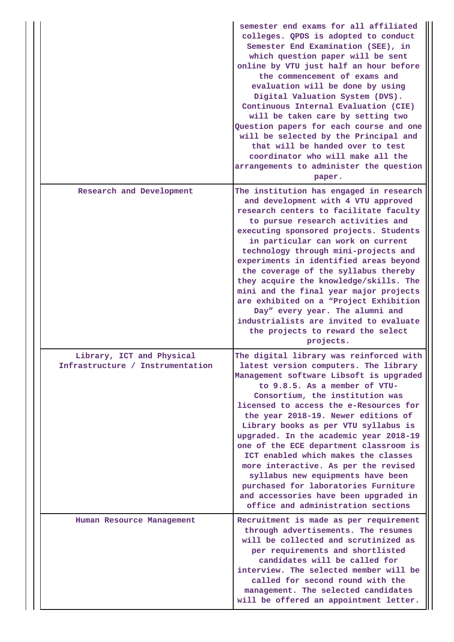|                                                               | semester end exams for all affiliated<br>colleges. QPDS is adopted to conduct<br>Semester End Examination (SEE), in<br>which question paper will be sent<br>online by VTU just half an hour before<br>the commencement of exams and<br>evaluation will be done by using<br>Digital Valuation System (DVS).<br>Continuous Internal Evaluation (CIE)<br>will be taken care by setting two<br>Question papers for each course and one<br>will be selected by the Principal and<br>that will be handed over to test<br>coordinator who will make all the<br>arrangements to administer the question<br>paper.                                               |
|---------------------------------------------------------------|---------------------------------------------------------------------------------------------------------------------------------------------------------------------------------------------------------------------------------------------------------------------------------------------------------------------------------------------------------------------------------------------------------------------------------------------------------------------------------------------------------------------------------------------------------------------------------------------------------------------------------------------------------|
| Research and Development                                      | The institution has engaged in research<br>and development with 4 VTU approved<br>research centers to facilitate faculty<br>to pursue research activities and<br>executing sponsored projects. Students<br>in particular can work on current<br>technology through mini-projects and<br>experiments in identified areas beyond<br>the coverage of the syllabus thereby<br>they acquire the knowledge/skills. The<br>mini and the final year major projects<br>are exhibited on a "Project Exhibition<br>Day" every year. The alumni and<br>industrialists are invited to evaluate<br>the projects to reward the select<br>projects.                     |
| Library, ICT and Physical<br>Infrastructure / Instrumentation | The digital library was reinforced with<br>latest version computers. The library<br>Management software Libsoft is upgraded<br>to 9.8.5. As a member of VTU-<br>Consortium, the institution was<br>licensed to access the e-Resources for<br>the year 2018-19. Newer editions of<br>Library books as per VTU syllabus is<br>upgraded. In the academic year 2018-19<br>one of the ECE department classroom is<br>ICT enabled which makes the classes<br>more interactive. As per the revised<br>syllabus new equipments have been<br>purchased for laboratories Furniture<br>and accessories have been upgraded in<br>office and administration sections |
| Human Resource Management                                     | Recruitment is made as per requirement<br>through advertisements. The resumes<br>will be collected and scrutinized as<br>per requirements and shortlisted<br>candidates will be called for<br>interview. The selected member will be<br>called for second round with the<br>management. The selected candidates<br>will be offered an appointment letter.                                                                                                                                                                                                                                                                                               |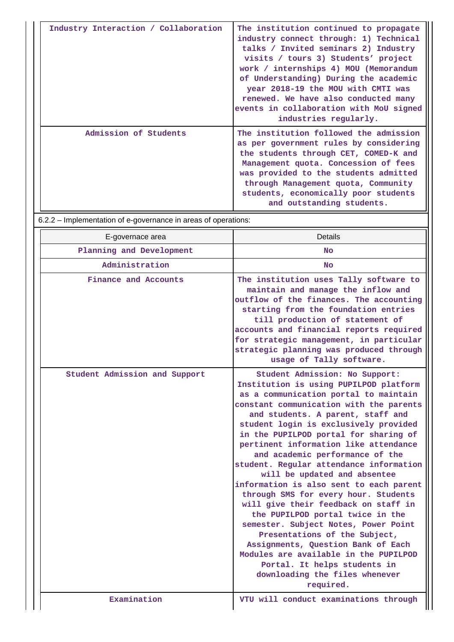| Industry Interaction / Collaboration | The institution continued to propagate<br>industry connect through: 1) Technical<br>talks / Invited seminars 2) Industry<br>visits / tours 3) Students' project<br>work / internships 4) MOU (Memorandum<br>of Understanding) During the academic<br>year 2018-19 the MOU with CMTI was<br>renewed. We have also conducted many<br>events in collaboration with MoU signed<br>industries regularly. |
|--------------------------------------|-----------------------------------------------------------------------------------------------------------------------------------------------------------------------------------------------------------------------------------------------------------------------------------------------------------------------------------------------------------------------------------------------------|
| Admission of Students                | The institution followed the admission<br>as per government rules by considering<br>the students through CET, COMED-K and<br>Management quota. Concession of fees<br>was provided to the students admitted<br>through Management quota, Community<br>students, economically poor students<br>and outstanding students.                                                                              |

6.2.2 – Implementation of e-governance in areas of operations:

| E-governace area              | <b>Details</b>                                                                                                                                                                                                                                                                                                                                                                                                                                                                                                                                                                                                                                                                                                                                                                                                                                   |
|-------------------------------|--------------------------------------------------------------------------------------------------------------------------------------------------------------------------------------------------------------------------------------------------------------------------------------------------------------------------------------------------------------------------------------------------------------------------------------------------------------------------------------------------------------------------------------------------------------------------------------------------------------------------------------------------------------------------------------------------------------------------------------------------------------------------------------------------------------------------------------------------|
| Planning and Development      | <b>No</b>                                                                                                                                                                                                                                                                                                                                                                                                                                                                                                                                                                                                                                                                                                                                                                                                                                        |
| Administration                | No                                                                                                                                                                                                                                                                                                                                                                                                                                                                                                                                                                                                                                                                                                                                                                                                                                               |
| Finance and Accounts          | The institution uses Tally software to<br>maintain and manage the inflow and<br>outflow of the finances. The accounting<br>starting from the foundation entries<br>till production of statement of<br>accounts and financial reports required<br>for strategic management, in particular<br>strategic planning was produced through<br>usage of Tally software.                                                                                                                                                                                                                                                                                                                                                                                                                                                                                  |
| Student Admission and Support | Student Admission: No Support:<br>Institution is using PUPILPOD platform<br>as a communication portal to maintain<br>constant communication with the parents<br>and students. A parent, staff and<br>student login is exclusively provided<br>in the PUPILPOD portal for sharing of<br>pertinent information like attendance<br>and academic performance of the<br>student. Regular attendance information<br>will be updated and absentee<br>information is also sent to each parent<br>through SMS for every hour. Students<br>will give their feedback on staff in<br>the PUPILPOD portal twice in the<br>semester. Subject Notes, Power Point<br>Presentations of the Subject,<br>Assignments, Question Bank of Each<br>Modules are available in the PUPILPOD<br>Portal. It helps students in<br>downloading the files whenever<br>required. |
| Examination                   | VTU will conduct examinations through                                                                                                                                                                                                                                                                                                                                                                                                                                                                                                                                                                                                                                                                                                                                                                                                            |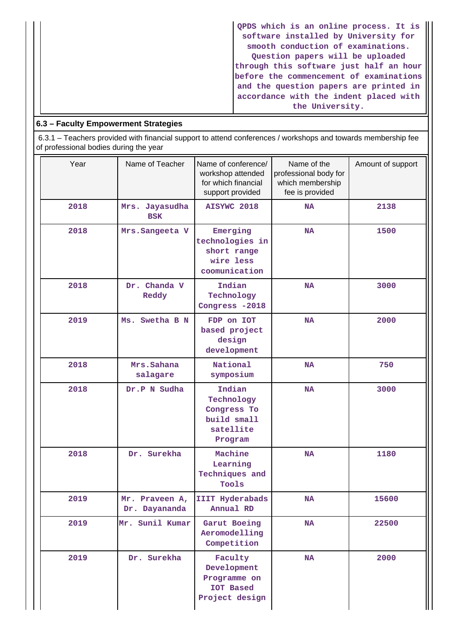**QPDS which is an online process. It is software installed by University for smooth conduction of examinations. Question papers will be uploaded through this software just half an hour before the commencement of examinations and the question papers are printed in accordance with the indent placed with the University.**

### **6.3 – Faculty Empowerment Strategies**

 6.3.1 – Teachers provided with financial support to attend conferences / workshops and towards membership fee of professional bodies during the year

| Year | Name of Teacher                 | Name of conference/<br>workshop attended<br>for which financial<br>support provided | Name of the<br>professional body for<br>which membership<br>fee is provided | Amount of support |
|------|---------------------------------|-------------------------------------------------------------------------------------|-----------------------------------------------------------------------------|-------------------|
| 2018 | Mrs. Jayasudha<br><b>BSK</b>    | AISYWC 2018                                                                         | <b>NA</b>                                                                   | 2138              |
| 2018 | Mrs. Sangeeta V                 | Emerging<br>technologies in<br>short range<br>wire less<br>coomunication            | <b>NA</b>                                                                   | 1500              |
| 2018 | Dr. Chanda V<br>Reddy           | Indian<br>Technology<br>Congress -2018                                              | <b>NA</b>                                                                   | 3000              |
| 2019 | Ms. Swetha B N                  | FDP on IOT<br>based project<br>design<br>development                                | <b>NA</b>                                                                   | 2000              |
| 2018 | Mrs.Sahana<br>salagare          | National<br>symposium                                                               | <b>NA</b>                                                                   | 750               |
| 2018 | Dr.P N Sudha                    | Indian<br>Technology<br>Congress To<br>build small<br>satellite<br>Program          | <b>NA</b>                                                                   | 3000              |
| 2018 | Dr. Surekha                     | Machine<br>Learning<br>Techniques and<br>Tools                                      | <b>NA</b>                                                                   | 1180              |
| 2019 | Mr. Praveen A,<br>Dr. Dayananda | IIIT Hyderabads<br>Annual RD                                                        | NA                                                                          | 15600             |
| 2019 | Mr. Sunil Kumar                 | Garut Boeing<br>Aeromodelling<br>Competition                                        | <b>NA</b>                                                                   | 22500             |
| 2019 | Dr. Surekha                     | Faculty<br>Development<br>Programme on<br><b>IOT Based</b><br>Project design        | <b>NA</b>                                                                   | 2000              |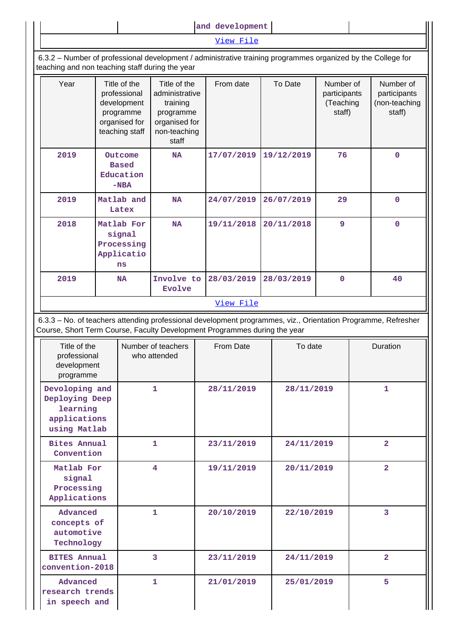**and development**

[View File](https://assessmentonline.naac.gov.in/public/Postacc/Faculty_Emp/5304_Faculty_Emp_1595409063.xls)

 6.3.2 – Number of professional development / administrative training programmes organized by the College for teaching and non teaching staff during the year

| Year | Title of the<br>professional<br>development<br>programme<br>organised for<br>teaching staff | Title of the<br>administrative<br>training<br>programme<br>organised for<br>non-teaching<br>staff | From date  | To Date    | Number of<br>participants<br>(Teaching<br>staff) | Number of<br>participants<br>(non-teaching<br>staff) |
|------|---------------------------------------------------------------------------------------------|---------------------------------------------------------------------------------------------------|------------|------------|--------------------------------------------------|------------------------------------------------------|
| 2019 | Outcome<br><b>Based</b><br>Education<br>$-NBA$                                              | <b>NA</b>                                                                                         | 17/07/2019 | 19/12/2019 | 76                                               | $\mathbf{O}$                                         |
| 2019 | Matlab and<br>Latex                                                                         | <b>NA</b>                                                                                         | 24/07/2019 | 26/07/2019 | 29                                               | 0                                                    |
| 2018 | Matlab For<br>signal<br>Processing<br>Applicatio<br>ns                                      | <b>NA</b>                                                                                         | 19/11/2018 | 20/11/2018 | 9                                                | $\mathbf{O}$                                         |
| 2019 | <b>NA</b>                                                                                   | Involve to<br><b>Evolve</b>                                                                       | 28/03/2019 | 28/03/2019 | $\mathbf 0$                                      | 40                                                   |
|      |                                                                                             |                                                                                                   | View File  |            |                                                  |                                                      |

 6.3.3 – No. of teachers attending professional development programmes, viz., Orientation Programme, Refresher Course, Short Term Course, Faculty Development Programmes during the year

| Title of the<br>professional<br>development<br>programme                     | Number of teachers<br>who attended | From Date  | To date    | Duration       |
|------------------------------------------------------------------------------|------------------------------------|------------|------------|----------------|
| Devoloping and<br>Deploying Deep<br>learning<br>applications<br>using Matlab | $\mathbf{1}$                       | 28/11/2019 | 28/11/2019 | 1              |
| <b>Bites Annual</b><br>Convention                                            | $\mathbf{1}$                       | 23/11/2019 | 24/11/2019 | $\overline{a}$ |
| Matlab For<br>signal<br>Processing<br>Applications                           | 4                                  | 19/11/2019 | 20/11/2019 | $\overline{2}$ |
| Advanced<br>concepts of<br>automotive<br>Technology                          | 1                                  | 20/10/2019 | 22/10/2019 | 3              |
| <b>BITES Annual</b><br>convention-2018                                       | 3                                  | 23/11/2019 | 24/11/2019 | $\overline{2}$ |
| Advanced<br>research trends<br>in speech and                                 | $\mathbf{1}$                       | 21/01/2019 | 25/01/2019 | 5              |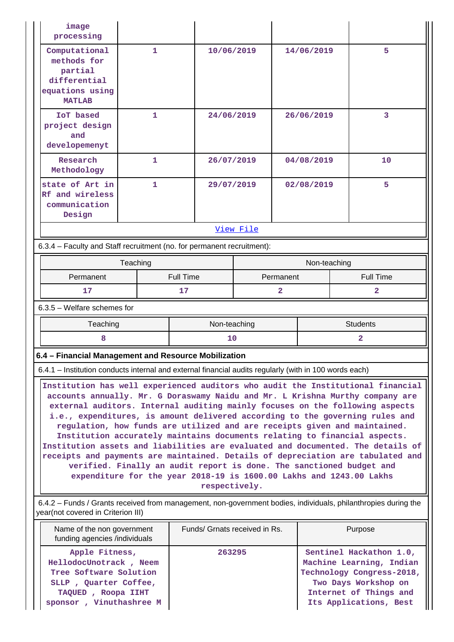| image<br>processing                                                                                                                                  |                                                                                                                                                                                                                                                                                                                                                                                                                                                                                                                                                                                                                                                                                                                                                                                                                                  |                  |                               |           |                  |                |
|------------------------------------------------------------------------------------------------------------------------------------------------------|----------------------------------------------------------------------------------------------------------------------------------------------------------------------------------------------------------------------------------------------------------------------------------------------------------------------------------------------------------------------------------------------------------------------------------------------------------------------------------------------------------------------------------------------------------------------------------------------------------------------------------------------------------------------------------------------------------------------------------------------------------------------------------------------------------------------------------|------------------|-------------------------------|-----------|------------------|----------------|
| Computational<br>methods for<br>partial<br>differential<br>equations using<br><b>MATLAB</b>                                                          | 1                                                                                                                                                                                                                                                                                                                                                                                                                                                                                                                                                                                                                                                                                                                                                                                                                                | 10/06/2019       |                               |           | 14/06/2019       | 5              |
| <b>IOT</b> based<br>project design<br>and<br>developemenyt                                                                                           | $\mathbf{1}$                                                                                                                                                                                                                                                                                                                                                                                                                                                                                                                                                                                                                                                                                                                                                                                                                     | 24/06/2019       |                               |           | 26/06/2019       | 3              |
| Research<br>Methodology                                                                                                                              | $\mathbf{1}$                                                                                                                                                                                                                                                                                                                                                                                                                                                                                                                                                                                                                                                                                                                                                                                                                     | 26/07/2019       |                               |           | 04/08/2019       | 10             |
| state of Art in<br>Rf and wireless<br>communication<br>Design                                                                                        | 1                                                                                                                                                                                                                                                                                                                                                                                                                                                                                                                                                                                                                                                                                                                                                                                                                                |                  | 29/07/2019                    |           | 02/08/2019       | 5              |
|                                                                                                                                                      |                                                                                                                                                                                                                                                                                                                                                                                                                                                                                                                                                                                                                                                                                                                                                                                                                                  |                  | View File                     |           |                  |                |
| 6.3.4 - Faculty and Staff recruitment (no. for permanent recruitment):                                                                               |                                                                                                                                                                                                                                                                                                                                                                                                                                                                                                                                                                                                                                                                                                                                                                                                                                  |                  |                               |           |                  |                |
|                                                                                                                                                      | Teaching<br>Non-teaching                                                                                                                                                                                                                                                                                                                                                                                                                                                                                                                                                                                                                                                                                                                                                                                                         |                  |                               |           |                  |                |
| Permanent                                                                                                                                            |                                                                                                                                                                                                                                                                                                                                                                                                                                                                                                                                                                                                                                                                                                                                                                                                                                  | <b>Full Time</b> |                               | Permanent | <b>Full Time</b> |                |
| $\overline{2}$<br>17<br>17<br>$\overline{2}$                                                                                                         |                                                                                                                                                                                                                                                                                                                                                                                                                                                                                                                                                                                                                                                                                                                                                                                                                                  |                  |                               |           |                  |                |
| $6.3.5$ – Welfare schemes for                                                                                                                        |                                                                                                                                                                                                                                                                                                                                                                                                                                                                                                                                                                                                                                                                                                                                                                                                                                  |                  |                               |           |                  |                |
|                                                                                                                                                      | <b>Students</b><br>Teaching<br>Non-teaching                                                                                                                                                                                                                                                                                                                                                                                                                                                                                                                                                                                                                                                                                                                                                                                      |                  |                               |           |                  |                |
| 8                                                                                                                                                    |                                                                                                                                                                                                                                                                                                                                                                                                                                                                                                                                                                                                                                                                                                                                                                                                                                  | 10               |                               |           |                  | $\overline{a}$ |
| 6.4 - Financial Management and Resource Mobilization                                                                                                 |                                                                                                                                                                                                                                                                                                                                                                                                                                                                                                                                                                                                                                                                                                                                                                                                                                  |                  |                               |           |                  |                |
| 6.4.1 – Institution conducts internal and external financial audits regularly (with in 100 words each)                                               |                                                                                                                                                                                                                                                                                                                                                                                                                                                                                                                                                                                                                                                                                                                                                                                                                                  |                  |                               |           |                  |                |
|                                                                                                                                                      | Institution has well experienced auditors who audit the Institutional financial<br>accounts annually. Mr. G Doraswamy Naidu and Mr. L Krishna Murthy company are<br>external auditors. Internal auditing mainly focuses on the following aspects<br>i.e., expenditures, is amount delivered according to the governing rules and<br>regulation, how funds are utilized and are receipts given and maintained.<br>Institution accurately maintains documents relating to financial aspects.<br>Institution assets and liabilities are evaluated and documented. The details of<br>receipts and payments are maintained. Details of depreciation are tabulated and<br>verified. Finally an audit report is done. The sanctioned budget and<br>expenditure for the year 2018-19 is 1600.00 Lakhs and 1243.00 Lakhs<br>respectively. |                  |                               |           |                  |                |
| 6.4.2 - Funds / Grants received from management, non-government bodies, individuals, philanthropies during the<br>year(not covered in Criterion III) |                                                                                                                                                                                                                                                                                                                                                                                                                                                                                                                                                                                                                                                                                                                                                                                                                                  |                  |                               |           |                  |                |
| Name of the non government<br>funding agencies /individuals                                                                                          |                                                                                                                                                                                                                                                                                                                                                                                                                                                                                                                                                                                                                                                                                                                                                                                                                                  |                  |                               |           |                  |                |
|                                                                                                                                                      |                                                                                                                                                                                                                                                                                                                                                                                                                                                                                                                                                                                                                                                                                                                                                                                                                                  |                  | Funds/ Grnats received in Rs. |           |                  | Purpose        |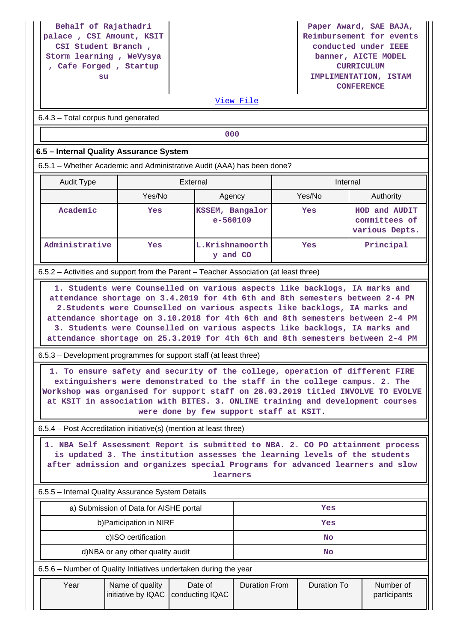**Behalf of Rajathadri palace , CSI Amount, KSIT CSI Student Branch , Storm learning , WeVysya , Cafe Forged , Startup su**

**Paper Award, SAE BAJA, Reimbursement for events conducted under IEEE banner, AICTE MODEL CURRICULUM IMPLIMENTATION, ISTAM CONFERENCE**

### [View File](https://assessmentonline.naac.gov.in/public/Postacc/Funds_or_Grants/5304_Funds_or_Grants_1595402131.xlsx)

6.4.3 – Total corpus fund generated

**000**

#### **6.5 – Internal Quality Assurance System**

6.5.1 – Whether Academic and Administrative Audit (AAA) has been done?

| Audit Type     | External |                                 | Internal |                                                  |
|----------------|----------|---------------------------------|----------|--------------------------------------------------|
|                | Yes/No   | Agency                          | Yes/No   | Authority                                        |
| Academic       | Yes      | KSSEM, Bangalor<br>$e - 560109$ | Yes      | HOD and AUDIT<br>committees of<br>various Depts. |
| Administrative | Yes      | L.Krishnamoorth<br>and CO       | Yes      | Principal                                        |

6.5.2 – Activities and support from the Parent – Teacher Association (at least three)

 **1. Students were Counselled on various aspects like backlogs, IA marks and attendance shortage on 3.4.2019 for 4th 6th and 8th semesters between 2-4 PM 2.Students were Counselled on various aspects like backlogs, IA marks and attendance shortage on 3.10.2018 for 4th 6th and 8th semesters between 2-4 PM 3. Students were Counselled on various aspects like backlogs, IA marks and attendance shortage on 25.3.2019 for 4th 6th and 8th semesters between 2-4 PM**

6.5.3 – Development programmes for support staff (at least three)

 **1. To ensure safety and security of the college, operation of different FIRE extinguishers were demonstrated to the staff in the college campus. 2. The Workshop was organised for support staff on 28.03.2019 titled INVOLVE TO EVOLVE at KSIT in association with BITES. 3. ONLINE training and development courses were done by few support staff at KSIT.**

6.5.4 – Post Accreditation initiative(s) (mention at least three)

 **1. NBA Self Assessment Report is submitted to NBA. 2. CO PO attainment process is updated 3. The institution assesses the learning levels of the students after admission and organizes special Programs for advanced learners and slow learners**

6.5.5 – Internal Quality Assurance System Details

| a) Submission of Data for AISHE portal | Yes |
|----------------------------------------|-----|
| b) Participation in NIRF               | Yes |
| c)ISO certification                    | No  |
| d)NBA or any other quality audit       | No  |

6.5.6 – Number of Quality Initiatives undertaken during the year

| Year | Name of quality<br>initiative by IQAC   conducting IQAC | Date of | Duration From | Duration To | Number of<br>participants |
|------|---------------------------------------------------------|---------|---------------|-------------|---------------------------|
|      |                                                         |         |               |             |                           |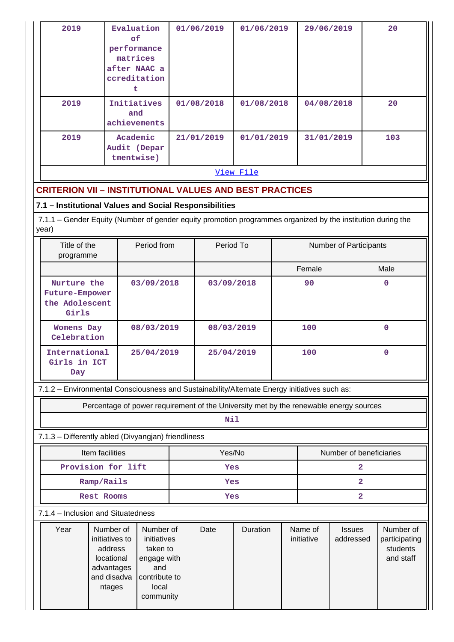| 2019 | Evaluation<br>оf<br>performance<br>matrices<br>after NAAC a<br>ccreditation | 01/06/2019 | 01/06/2019 | 29/06/2019 | 20  |  |
|------|-----------------------------------------------------------------------------|------------|------------|------------|-----|--|
| 2019 | Initiatives<br>and<br>achievements                                          | 01/08/2018 | 01/08/2018 | 04/08/2018 | 20  |  |
| 2019 | Academic<br>Audit (Depar<br>tmentwise)                                      | 21/01/2019 | 01/01/2019 | 31/01/2019 | 103 |  |
|      | <u>View File</u>                                                            |            |            |            |     |  |

### **CRITERION VII – INSTITUTIONAL VALUES AND BEST PRACTICES**

#### **7.1 – Institutional Values and Social Responsibilities**

 7.1.1 – Gender Equity (Number of gender equity promotion programmes organized by the institution during the year)

| Title of the<br>programme                                | Period from | Period To  | Number of Participants |          |
|----------------------------------------------------------|-------------|------------|------------------------|----------|
|                                                          |             |            | Female                 | Male     |
| Nurture the<br>Future-Empower<br>the Adolescent<br>Girls | 03/09/2018  | 03/09/2018 | 90                     | 0        |
| <b>Womens Day</b><br>Celebration                         | 08/03/2019  | 08/03/2019 | 100                    | $\Omega$ |
| International<br>Girls in ICT<br>Day                     | 25/04/2019  | 25/04/2019 | 100                    | 0        |

7.1.2 – Environmental Consciousness and Sustainability/Alternate Energy initiatives such as:

Percentage of power requirement of the University met by the renewable energy sources

#### **Nil**

### 7.1.3 – Differently abled (Divyangjan) friendliness

| Item facilities    | Yes/No | Number of beneficiaries |
|--------------------|--------|-------------------------|
| Provision for lift | Yes    |                         |
| Ramp/Rails         | Yes    |                         |
| Rest Rooms         | Yes    |                         |

#### 7.1.4 – Inclusion and Situatedness

| Year | Number of<br>initiatives to<br>address<br>locational<br>advantages<br>and disadva<br>ntages | Number of<br>initiatives<br>taken to<br>engage with<br>and<br>contribute to<br>local<br>community | Date | Duration | Name of<br>initiative | <b>Issues</b><br>addressed | Number of<br>participating<br>students<br>and staff |
|------|---------------------------------------------------------------------------------------------|---------------------------------------------------------------------------------------------------|------|----------|-----------------------|----------------------------|-----------------------------------------------------|
|      |                                                                                             |                                                                                                   |      |          |                       |                            |                                                     |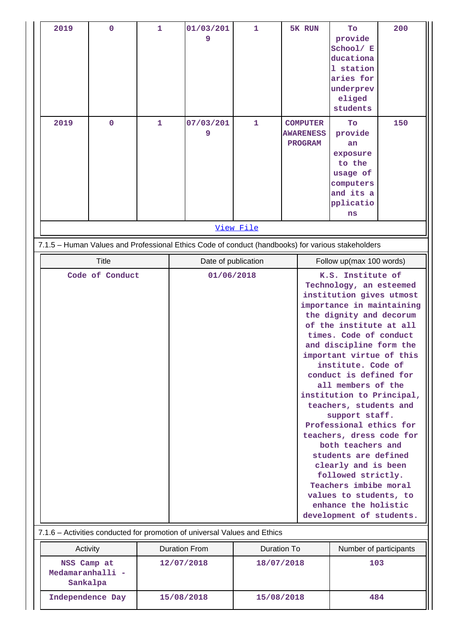| 2019             | $\overline{0}$  | $\mathbf{1}$ | 01/03/201                                                                                         | $\mathbf{1}$             | 5K RUN                                               | Tо                                                  | 200 |  |
|------------------|-----------------|--------------|---------------------------------------------------------------------------------------------------|--------------------------|------------------------------------------------------|-----------------------------------------------------|-----|--|
|                  |                 |              | 9                                                                                                 |                          |                                                      | provide<br>School/ E                                |     |  |
|                  |                 |              |                                                                                                   |                          |                                                      | ducationa                                           |     |  |
|                  |                 |              |                                                                                                   |                          |                                                      | 1 station                                           |     |  |
|                  |                 |              |                                                                                                   |                          |                                                      | aries for                                           |     |  |
|                  |                 |              |                                                                                                   |                          |                                                      | underprev                                           |     |  |
|                  |                 |              |                                                                                                   |                          |                                                      | eliged                                              |     |  |
|                  |                 |              |                                                                                                   |                          |                                                      | students                                            |     |  |
| 2019             | 0               | 1            | 07/03/201                                                                                         | 1                        | <b>COMPUTER</b>                                      | To                                                  | 150 |  |
|                  |                 |              | 9                                                                                                 |                          | <b>AWARENESS</b>                                     | provide                                             |     |  |
|                  |                 |              |                                                                                                   |                          | <b>PROGRAM</b>                                       | an                                                  |     |  |
|                  |                 |              |                                                                                                   |                          |                                                      | exposure<br>to the                                  |     |  |
|                  |                 |              |                                                                                                   |                          |                                                      | usage of                                            |     |  |
|                  |                 |              |                                                                                                   |                          |                                                      | computers                                           |     |  |
|                  |                 |              |                                                                                                   |                          |                                                      | and its a                                           |     |  |
|                  |                 |              |                                                                                                   |                          |                                                      | pplicatio                                           |     |  |
|                  |                 |              |                                                                                                   |                          |                                                      | ns                                                  |     |  |
|                  |                 |              |                                                                                                   | View File                |                                                      |                                                     |     |  |
|                  |                 |              | 7.1.5 - Human Values and Professional Ethics Code of conduct (handbooks) for various stakeholders |                          |                                                      |                                                     |     |  |
|                  | <b>Title</b>    |              | Date of publication                                                                               |                          |                                                      | Follow up(max 100 words)                            |     |  |
|                  | Code of Conduct |              |                                                                                                   | 01/06/2018               |                                                      | K.S. Institute of                                   |     |  |
|                  |                 |              |                                                                                                   |                          | Technology, an esteemed                              |                                                     |     |  |
|                  |                 |              |                                                                                                   |                          | institution gives utmost                             |                                                     |     |  |
|                  |                 |              |                                                                                                   |                          | importance in maintaining<br>the dignity and decorum |                                                     |     |  |
|                  |                 |              |                                                                                                   |                          | of the institute at all                              |                                                     |     |  |
|                  |                 |              |                                                                                                   |                          |                                                      | times. Code of conduct                              |     |  |
|                  |                 |              |                                                                                                   |                          |                                                      | and discipline form the                             |     |  |
|                  |                 |              |                                                                                                   |                          |                                                      | important virtue of this                            |     |  |
|                  |                 |              |                                                                                                   |                          |                                                      | institute. Code of                                  |     |  |
|                  |                 |              |                                                                                                   |                          |                                                      | conduct is defined for                              |     |  |
|                  |                 |              |                                                                                                   |                          |                                                      | all members of the<br>institution to Principal,     |     |  |
|                  |                 |              |                                                                                                   |                          |                                                      |                                                     |     |  |
|                  |                 |              |                                                                                                   |                          |                                                      | teachers, students and<br>support staff.            |     |  |
|                  |                 |              |                                                                                                   |                          |                                                      |                                                     |     |  |
|                  |                 |              |                                                                                                   |                          |                                                      | Professional ethics for<br>teachers, dress code for |     |  |
|                  |                 |              |                                                                                                   |                          | both teachers and                                    |                                                     |     |  |
|                  |                 |              |                                                                                                   |                          | students are defined                                 |                                                     |     |  |
|                  |                 |              |                                                                                                   |                          |                                                      | clearly and is been                                 |     |  |
|                  |                 |              |                                                                                                   |                          | followed strictly.                                   |                                                     |     |  |
|                  |                 |              |                                                                                                   |                          | Teachers imbibe moral                                |                                                     |     |  |
|                  |                 |              |                                                                                                   |                          |                                                      | values to students, to                              |     |  |
|                  |                 |              |                                                                                                   | enhance the holistic     |                                                      |                                                     |     |  |
|                  |                 |              |                                                                                                   | development of students. |                                                      |                                                     |     |  |
|                  |                 |              | 7.1.6 - Activities conducted for promotion of universal Values and Ethics                         |                          |                                                      |                                                     |     |  |
| Activity         |                 |              | <b>Duration From</b>                                                                              |                          | <b>Duration To</b>                                   | Number of participants                              |     |  |
| NSS Camp at      |                 |              | 12/07/2018                                                                                        | 18/07/2018               |                                                      | 103                                                 |     |  |
| Medamaranhalli - |                 |              |                                                                                                   |                          |                                                      |                                                     |     |  |
| Sankalpa         |                 |              |                                                                                                   |                          |                                                      |                                                     |     |  |
| Independence Day |                 |              | 15/08/2018                                                                                        | 15/08/2018               |                                                      | 484                                                 |     |  |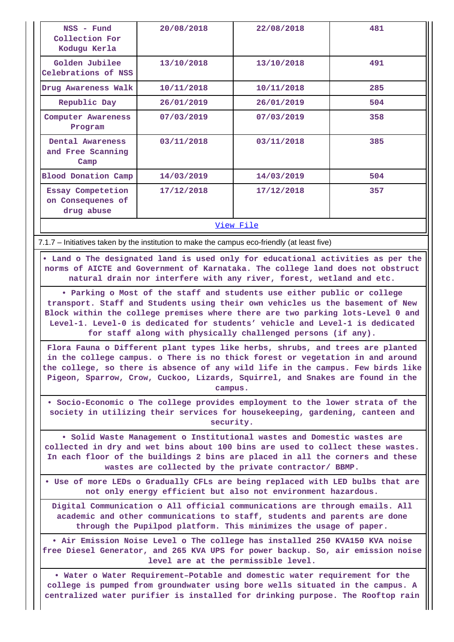| NSS - Fund<br>Collection For<br>Kodugu Kerla         | 20/08/2018 | 22/08/2018 | 481 |  |  |
|------------------------------------------------------|------------|------------|-----|--|--|
| Golden Jubilee<br>Celebrations of NSS                | 13/10/2018 | 13/10/2018 |     |  |  |
| Drug Awareness Walk                                  | 10/11/2018 | 10/11/2018 | 285 |  |  |
| Republic Day                                         | 26/01/2019 | 26/01/2019 | 504 |  |  |
| Computer Awareness<br>Program                        | 07/03/2019 | 07/03/2019 | 358 |  |  |
| Dental Awareness<br>and Free Scanning<br>Camp        | 03/11/2018 | 03/11/2018 | 385 |  |  |
| <b>Blood Donation Camp</b>                           | 14/03/2019 | 14/03/2019 | 504 |  |  |
| Essay Competetion<br>on Consequenes of<br>drug abuse | 17/12/2018 | 17/12/2018 | 357 |  |  |
| <u>View File</u>                                     |            |            |     |  |  |

7.1.7 – Initiatives taken by the institution to make the campus eco-friendly (at least five)

 **• Land o The designated land is used only for educational activities as per the norms of AICTE and Government of Karnataka. The college land does not obstruct natural drain nor interfere with any river, forest, wetland and etc.**

**• Parking o Most of the staff and students use either public or college transport. Staff and Students using their own vehicles us the basement of New Block within the college premises where there are two parking lots-Level 0 and Level-1. Level-0 is dedicated for students' vehicle and Level-1 is dedicated for staff along with physically challenged persons (if any).**

**Flora Fauna o Different plant types like herbs, shrubs, and trees are planted in the college campus. o There is no thick forest or vegetation in and around the college, so there is absence of any wild life in the campus. Few birds like Pigeon, Sparrow, Crow, Cuckoo, Lizards, Squirrel, and Snakes are found in the campus.**

**• Socio-Economic o The college provides employment to the lower strata of the society in utilizing their services for housekeeping, gardening, canteen and security.**

**• Solid Waste Management o Institutional wastes and Domestic wastes are collected in dry and wet bins about 100 bins are used to collect these wastes. In each floor of the buildings 2 bins are placed in all the corners and these wastes are collected by the private contractor/ BBMP.**

**• Use of more LEDs o Gradually CFLs are being replaced with LED bulbs that are not only energy efficient but also not environment hazardous.**

**Digital Communication o All official communications are through emails. All academic and other communications to staff, students and parents are done through the Pupilpod platform. This minimizes the usage of paper.**

**• Air Emission Noise Level o The college has installed 250 KVA150 KVA noise free Diesel Generator, and 265 KVA UPS for power backup. So, air emission noise level are at the permissible level.**

**• Water o Water Requirement–Potable and domestic water requirement for the college is pumped from groundwater using bore wells situated in the campus. A centralized water purifier is installed for drinking purpose. The Rooftop rain**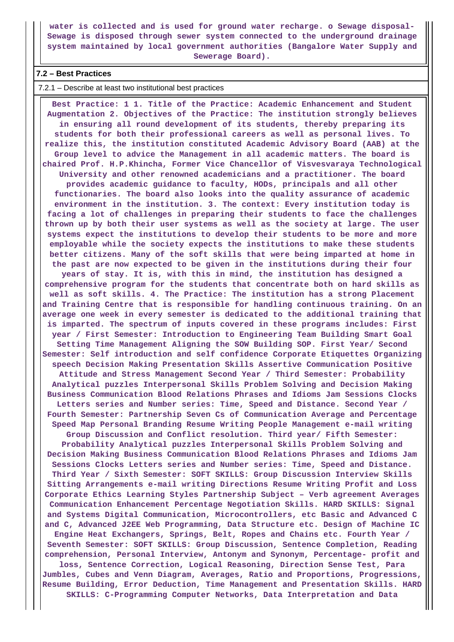**water is collected and is used for ground water recharge. o Sewage disposal-Sewage is disposed through sewer system connected to the underground drainage system maintained by local government authorities (Bangalore Water Supply and Sewerage Board).**

### **7.2 – Best Practices**

#### 7.2.1 – Describe at least two institutional best practices

 **Best Practice: 1 1. Title of the Practice: Academic Enhancement and Student Augmentation 2. Objectives of the Practice: The institution strongly believes in ensuring all round development of its students, thereby preparing its students for both their professional careers as well as personal lives. To realize this, the institution constituted Academic Advisory Board (AAB) at the Group level to advice the Management in all academic matters. The board is chaired Prof. H.P.Khincha, Former Vice Chancellor of Visvesvaraya Technological University and other renowned academicians and a practitioner. The board provides academic guidance to faculty, HODs, principals and all other functionaries. The board also looks into the quality assurance of academic environment in the institution. 3. The context: Every institution today is facing a lot of challenges in preparing their students to face the challenges thrown up by both their user systems as well as the society at large. The user systems expect the institutions to develop their students to be more and more employable while the society expects the institutions to make these students better citizens. Many of the soft skills that were being imparted at home in the past are now expected to be given in the institutions during their four years of stay. It is, with this in mind, the institution has designed a comprehensive program for the students that concentrate both on hard skills as well as soft skills. 4. The Practice: The institution has a strong Placement and Training Centre that is responsible for handling continuous training. On an average one week in every semester is dedicated to the additional training that is imparted. The spectrum of inputs covered in these programs includes: First year / First Semester: Introduction to Engineering Team Building Smart Goal Setting Time Management Aligning the SOW Building SOP. First Year/ Second Semester: Self introduction and self confidence Corporate Etiquettes Organizing speech Decision Making Presentation Skills Assertive Communication Positive Attitude and Stress Management Second Year / Third Semester: Probability Analytical puzzles Interpersonal Skills Problem Solving and Decision Making Business Communication Blood Relations Phrases and Idioms Jam Sessions Clocks Letters series and Number series: Time, Speed and Distance. Second Year / Fourth Semester: Partnership Seven Cs of Communication Average and Percentage Speed Map Personal Branding Resume Writing People Management e-mail writing Group Discussion and Conflict resolution. Third year/ Fifth Semester: Probability Analytical puzzles Interpersonal Skills Problem Solving and Decision Making Business Communication Blood Relations Phrases and Idioms Jam Sessions Clocks Letters series and Number series: Time, Speed and Distance. Third Year / Sixth Semester: SOFT SKILLS: Group Discussion Interview Skills Sitting Arrangements e-mail writing Directions Resume Writing Profit and Loss Corporate Ethics Learning Styles Partnership Subject – Verb agreement Averages Communication Enhancement Percentage Negotiation Skills. HARD SKILLS: Signal and Systems Digital Communication, Microcontrollers, etc Basic and Advanced C and C, Advanced J2EE Web Programming, Data Structure etc. Design of Machine IC Engine Heat Exchangers, Springs, Belt, Ropes and Chains etc. Fourth Year / Seventh Semester: SOFT SKILLS: Group Discussion, Sentence Completion, Reading comprehension, Personal Interview, Antonym and Synonym, Percentage- profit and loss, Sentence Correction, Logical Reasoning, Direction Sense Test, Para Jumbles, Cubes and Venn Diagram, Averages, Ratio and Proportions, Progressions, Resume Building, Error Deduction, Time Management and Presentation Skills. HARD SKILLS: C-Programming Computer Networks, Data Interpretation and Data**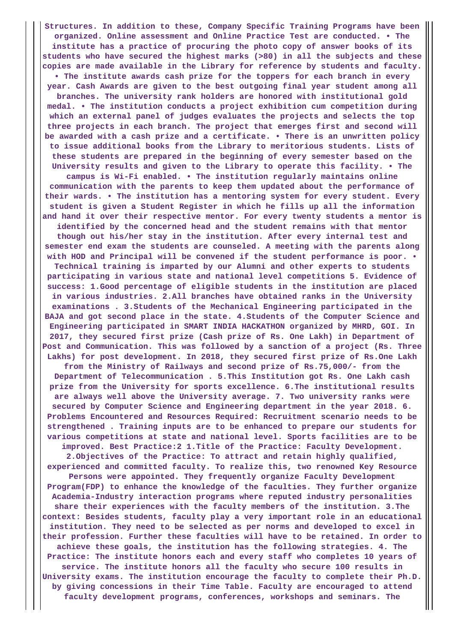**Structures. In addition to these, Company Specific Training Programs have been organized. Online assessment and Online Practice Test are conducted. • The institute has a practice of procuring the photo copy of answer books of its students who have secured the highest marks (>80) in all the subjects and these copies are made available in the Library for reference by students and faculty. • The institute awards cash prize for the toppers for each branch in every year. Cash Awards are given to the best outgoing final year student among all branches. The university rank holders are honored with institutional gold medal. • The institution conducts a project exhibition cum competition during which an external panel of judges evaluates the projects and selects the top three projects in each branch. The project that emerges first and second will be awarded with a cash prize and a certificate. • There is an unwritten policy to issue additional books from the Library to meritorious students. Lists of these students are prepared in the beginning of every semester based on the University results and given to the Library to operate this facility. • The campus is Wi-Fi enabled. • The institution regularly maintains online communication with the parents to keep them updated about the performance of their wards. • The institution has a mentoring system for every student. Every student is given a Student Register in which he fills up all the information and hand it over their respective mentor. For every twenty students a mentor is identified by the concerned head and the student remains with that mentor though out his/her stay in the institution. After every internal test and semester end exam the students are counseled. A meeting with the parents along with HOD and Principal will be convened if the student performance is poor. • Technical training is imparted by our Alumni and other experts to students participating in various state and national level competitions 5. Evidence of success: 1.Good percentage of eligible students in the institution are placed in various industries. 2.All branches have obtained ranks in the University examinations . 3.Students of the Mechanical Engineering participated in the BAJA and got second place in the state. 4.Students of the Computer Science and Engineering participated in SMART INDIA HACKATHON organized by MHRD, GOI. In 2017, they secured first prize (Cash prize of Rs. One Lakh) in Department of Post and Communication. This was followed by a sanction of a project (Rs. Three Lakhs) for post development. In 2018, they secured first prize of Rs.One Lakh from the Ministry of Railways and second prize of Rs.75,000/- from the Department of Telecommunication . 5.This Institution got Rs. One Lakh cash prize from the University for sports excellence. 6.The institutional results are always well above the University average. 7. Two university ranks were secured by Computer Science and Engineering department in the year 2018. 6. Problems Encountered and Resources Required: Recruitment scenario needs to be strengthened . Training inputs are to be enhanced to prepare our students for various competitions at state and national level. Sports facilities are to be improved. Best Practice:2 1.Title of the Practice: Faculty Development. 2.Objectives of the Practice: To attract and retain highly qualified, experienced and committed faculty. To realize this, two renowned Key Resource Persons were appointed. They frequently organize Faculty Development Program(FDP) to enhance the knowledge of the faculties. They further organize Academia-Industry interaction programs where reputed industry personalities share their experiences with the faculty members of the institution. 3.The context: Besides students, faculty play a very important role in an educational institution. They need to be selected as per norms and developed to excel in their profession. Further these faculties will have to be retained. In order to achieve these goals, the institution has the following strategies. 4. The Practice: The institute honors each and every staff who completes 10 years of service. The institute honors all the faculty who secure 100 results in University exams. The institution encourage the faculty to complete their Ph.D. by giving concessions in their Time Table. Faculty are encouraged to attend faculty development programs, conferences, workshops and seminars. The**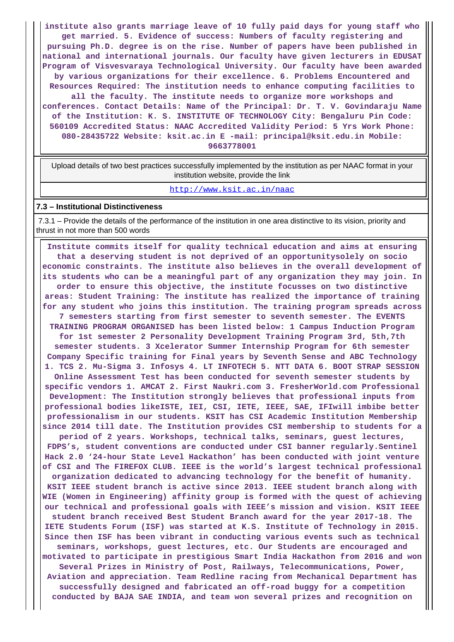**institute also grants marriage leave of 10 fully paid days for young staff who get married. 5. Evidence of success: Numbers of faculty registering and pursuing Ph.D. degree is on the rise. Number of papers have been published in national and international journals. Our faculty have given lecturers in EDUSAT Program of Visvesvaraya Technological University. Our faculty have been awarded by various organizations for their excellence. 6. Problems Encountered and Resources Required: The institution needs to enhance computing facilities to all the faculty. The institute needs to organize more workshops and conferences. Contact Details: Name of the Principal: Dr. T. V. Govindaraju Name of the Institution: K. S. INSTITUTE OF TECHNOLOGY City: Bengaluru Pin Code: 560109 Accredited Status: NAAC Accredited Validity Period: 5 Yrs Work Phone: 080-28435722 Website: ksit.ac.in E -mail: principal@ksit.edu.in Mobile: 9663778001**

 Upload details of two best practices successfully implemented by the institution as per NAAC format in your institution website, provide the link

#### <http://www.ksit.ac.in/naac>

#### **7.3 – Institutional Distinctiveness**

 7.3.1 – Provide the details of the performance of the institution in one area distinctive to its vision, priority and thrust in not more than 500 words

 **Institute commits itself for quality technical education and aims at ensuring that a deserving student is not deprived of an opportunitysolely on socio economic constraints. The institute also believes in the overall development of its students who can be a meaningful part of any organization they may join. In order to ensure this objective, the institute focusses on two distinctive areas: Student Training: The institute has realized the importance of training for any student who joins this institution. The training program spreads across 7 semesters starting from first semester to seventh semester. The EVENTS TRAINING PROGRAM ORGANISED has been listed below: 1 Campus Induction Program for 1st semester 2 Personality Development Training Program 3rd, 5th,7th semester students. 3 Xcelerator Summer Internship Program for 6th semester Company Specific training for Final years by Seventh Sense and ABC Technology 1. TCS 2. Mu-Sigma 3. Infosys 4. LT INFOTECH 5. NTT DATA 6. BOOT STRAP SESSION Online Assessment Test has been conducted for seventh semester students by specific vendors 1. AMCAT 2. First Naukri.com 3. FresherWorld.com Professional Development: The Institution strongly believes that professional inputs from professional bodies likeISTE, IEI, CSI, IETE, IEEE, SAE, IFIwill imbibe better professionalism in our students. KSIT has CSI Academic Institution Membership since 2014 till date. The Institution provides CSI membership to students for a period of 2 years. Workshops, technical talks, seminars, guest lectures, FDPS's, student conventions are conducted under CSI banner regularly.Sentinel Hack 2.0 '24-hour State Level Hackathon' has been conducted with joint venture of CSI and The FIREFOX CLUB. IEEE is the world's largest technical professional organization dedicated to advancing technology for the benefit of humanity. KSIT IEEE student branch is active since 2013. IEEE student branch along with WIE (Women in Engineering) affinity group is formed with the quest of achieving our technical and professional goals with IEEE's mission and vision. KSIT IEEE student branch received Best Student Branch award for the year 2017-18. The IETE Students Forum (ISF) was started at K.S. Institute of Technology in 2015. Since then ISF has been vibrant in conducting various events such as technical seminars, workshops, guest lectures, etc. Our Students are encouraged and motivated to participate in prestigious Smart India Hackathon from 2016 and won Several Prizes in Ministry of Post, Railways, Telecommunications, Power, Aviation and appreciation. Team Redline racing from Mechanical Department has successfully designed and fabricated an off-road buggy for a competition conducted by BAJA SAE INDIA, and team won several prizes and recognition on**